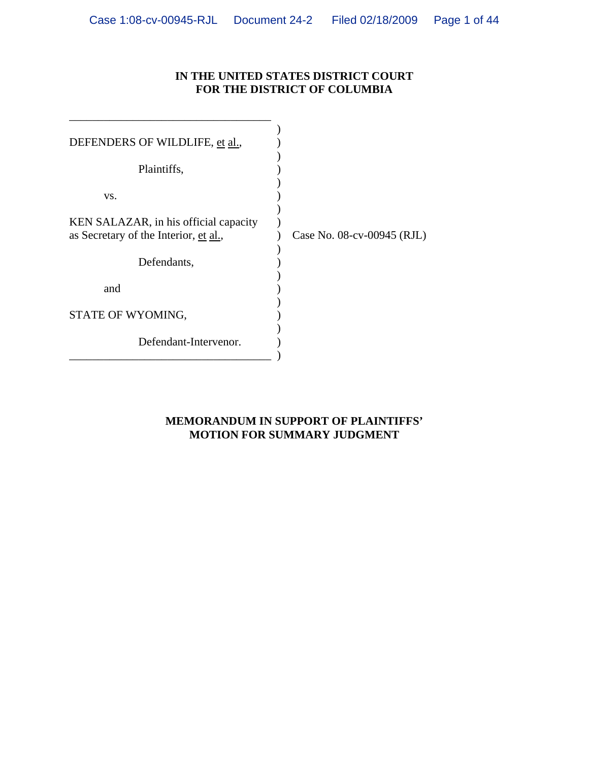## **IN THE UNITED STATES DISTRICT COURT FOR THE DISTRICT OF COLUMBIA**

| DEFENDERS OF WILDLIFE, et al.,        |                            |
|---------------------------------------|----------------------------|
| Plaintiffs,                           |                            |
| VS.                                   |                            |
| KEN SALAZAR, in his official capacity |                            |
| as Secretary of the Interior, et al., | Case No. 08-cv-00945 (RJL) |
| Defendants,                           |                            |
| and                                   |                            |
| STATE OF WYOMING,                     |                            |
| Defendant-Intervenor.                 |                            |
|                                       |                            |

## **MEMORANDUM IN SUPPORT OF PLAINTIFFS' MOTION FOR SUMMARY JUDGMENT**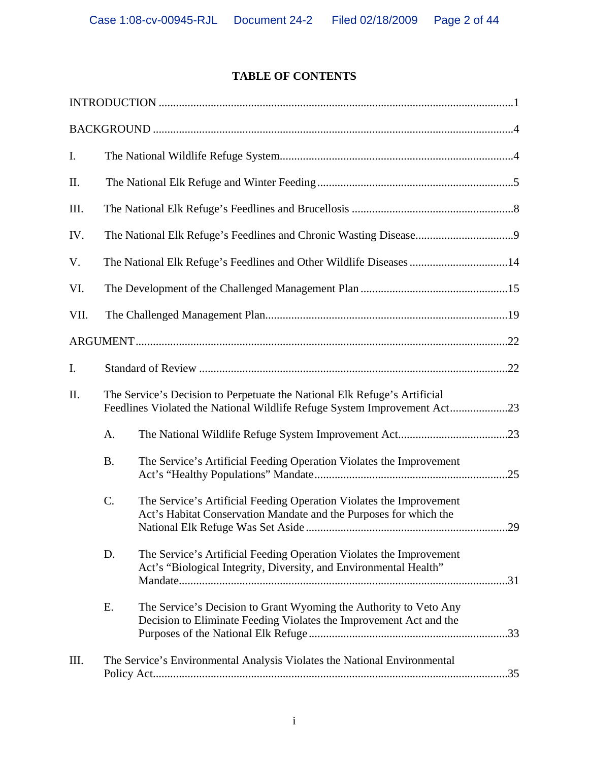## **TABLE OF CONTENTS**

| I.   |           |                                                                                                                                                       |  |
|------|-----------|-------------------------------------------------------------------------------------------------------------------------------------------------------|--|
| Π.   |           |                                                                                                                                                       |  |
| III. |           |                                                                                                                                                       |  |
| IV.  |           |                                                                                                                                                       |  |
| V.   |           |                                                                                                                                                       |  |
| VI.  |           |                                                                                                                                                       |  |
| VII. |           |                                                                                                                                                       |  |
|      |           |                                                                                                                                                       |  |
| I.   |           |                                                                                                                                                       |  |
| II.  |           | The Service's Decision to Perpetuate the National Elk Refuge's Artificial<br>Feedlines Violated the National Wildlife Refuge System Improvement Act23 |  |
|      | A.        |                                                                                                                                                       |  |
|      | <b>B.</b> | The Service's Artificial Feeding Operation Violates the Improvement                                                                                   |  |
|      | C.        | The Service's Artificial Feeding Operation Violates the Improvement<br>Act's Habitat Conservation Mandate and the Purposes for which the              |  |
|      | D.        | The Service's Artificial Feeding Operation Violates the Improvement<br>Act's "Biological Integrity, Diversity, and Environmental Health"              |  |
|      | E.        | The Service's Decision to Grant Wyoming the Authority to Veto Any<br>Decision to Eliminate Feeding Violates the Improvement Act and the               |  |
| III. |           | The Service's Environmental Analysis Violates the National Environmental                                                                              |  |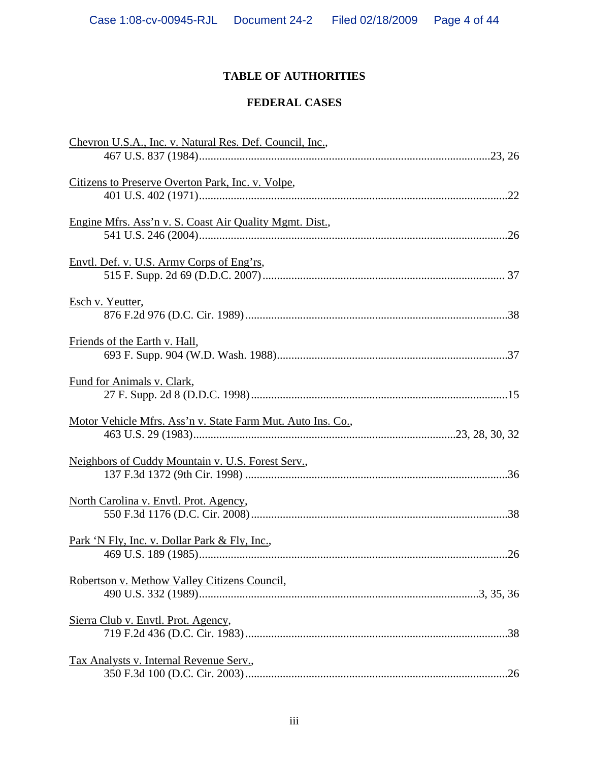# **TABLE OF AUTHORITIES**

## **FEDERAL CASES**

| Chevron U.S.A., Inc. v. Natural Res. Def. Council, Inc.,    |  |
|-------------------------------------------------------------|--|
|                                                             |  |
| Citizens to Preserve Overton Park, Inc. v. Volpe,           |  |
|                                                             |  |
| Engine Mfrs. Ass'n v. S. Coast Air Quality Mgmt. Dist.,     |  |
|                                                             |  |
| Envtl. Def. v. U.S. Army Corps of Eng'rs,                   |  |
|                                                             |  |
| Esch v. Yeutter,                                            |  |
|                                                             |  |
| Friends of the Earth v. Hall,                               |  |
|                                                             |  |
| Fund for Animals v. Clark,                                  |  |
|                                                             |  |
| Motor Vehicle Mfrs. Ass'n v. State Farm Mut. Auto Ins. Co., |  |
|                                                             |  |
| Neighbors of Cuddy Mountain v. U.S. Forest Serv.,           |  |
|                                                             |  |
| North Carolina v. Envtl. Prot. Agency,                      |  |
|                                                             |  |
| <u>Park 'N Fly, Inc. v. Dollar Park &amp; Fly, Inc.,</u>    |  |
|                                                             |  |
| Robertson v. Methow Valley Citizens Council,                |  |
|                                                             |  |
| Sierra Club v. Envtl. Prot. Agency,                         |  |
|                                                             |  |
| Tax Analysts v. Internal Revenue Serv.,                     |  |
|                                                             |  |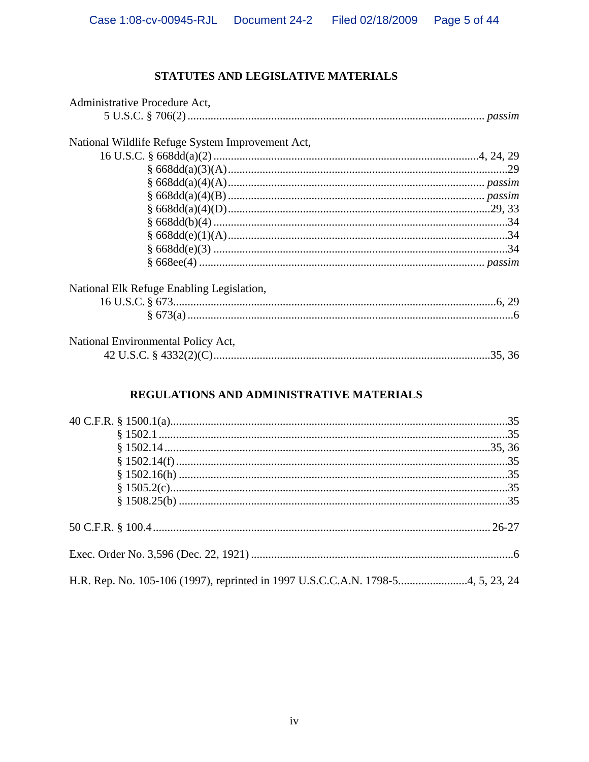## STATUTES AND LEGISLATIVE MATERIALS

| Administrative Procedure Act,                    |  |
|--------------------------------------------------|--|
|                                                  |  |
| National Wildlife Refuge System Improvement Act, |  |
|                                                  |  |
|                                                  |  |
|                                                  |  |
|                                                  |  |
|                                                  |  |
|                                                  |  |
|                                                  |  |
|                                                  |  |
|                                                  |  |
| National Elk Refuge Enabling Legislation,        |  |
|                                                  |  |
|                                                  |  |
| National Environmental Policy Act,               |  |
|                                                  |  |

## REGULATIONS AND ADMINISTRATIVE MATERIALS

| H.R. Rep. No. 105-106 (1997), reprinted in 1997 U.S.C.C.A.N. 1798-54, 5, 23, 24 |  |
|---------------------------------------------------------------------------------|--|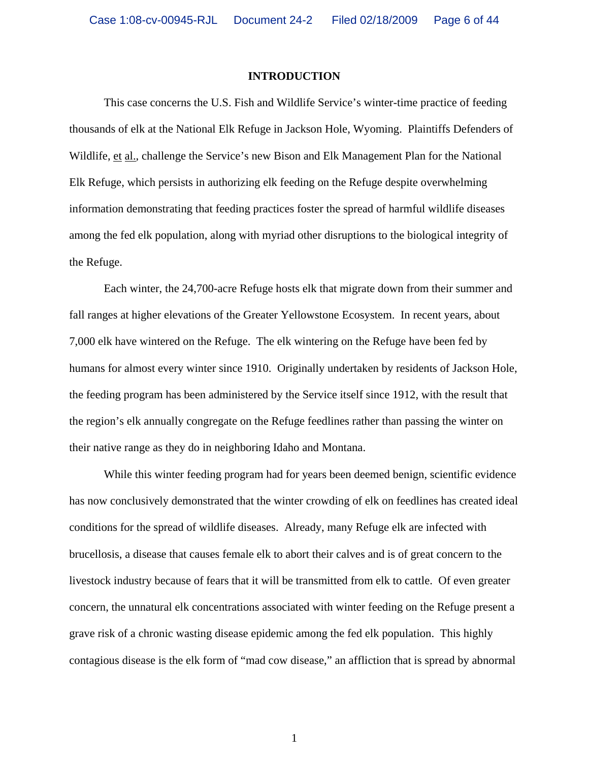#### **INTRODUCTION**

 This case concerns the U.S. Fish and Wildlife Service's winter-time practice of feeding thousands of elk at the National Elk Refuge in Jackson Hole, Wyoming. Plaintiffs Defenders of Wildlife, et al., challenge the Service's new Bison and Elk Management Plan for the National Elk Refuge, which persists in authorizing elk feeding on the Refuge despite overwhelming information demonstrating that feeding practices foster the spread of harmful wildlife diseases among the fed elk population, along with myriad other disruptions to the biological integrity of the Refuge.

 Each winter, the 24,700-acre Refuge hosts elk that migrate down from their summer and fall ranges at higher elevations of the Greater Yellowstone Ecosystem. In recent years, about 7,000 elk have wintered on the Refuge. The elk wintering on the Refuge have been fed by humans for almost every winter since 1910. Originally undertaken by residents of Jackson Hole, the feeding program has been administered by the Service itself since 1912, with the result that the region's elk annually congregate on the Refuge feedlines rather than passing the winter on their native range as they do in neighboring Idaho and Montana.

 While this winter feeding program had for years been deemed benign, scientific evidence has now conclusively demonstrated that the winter crowding of elk on feedlines has created ideal conditions for the spread of wildlife diseases. Already, many Refuge elk are infected with brucellosis, a disease that causes female elk to abort their calves and is of great concern to the livestock industry because of fears that it will be transmitted from elk to cattle. Of even greater concern, the unnatural elk concentrations associated with winter feeding on the Refuge present a grave risk of a chronic wasting disease epidemic among the fed elk population. This highly contagious disease is the elk form of "mad cow disease," an affliction that is spread by abnormal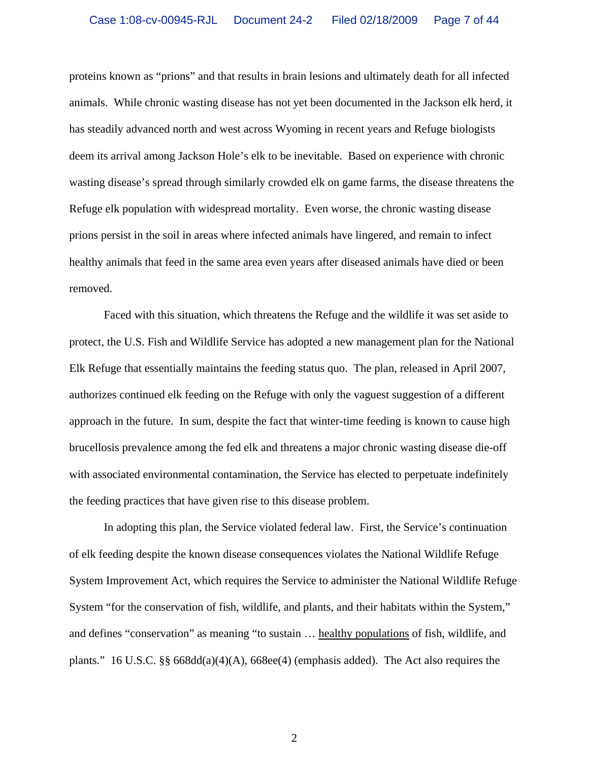proteins known as "prions" and that results in brain lesions and ultimately death for all infected animals. While chronic wasting disease has not yet been documented in the Jackson elk herd, it has steadily advanced north and west across Wyoming in recent years and Refuge biologists deem its arrival among Jackson Hole's elk to be inevitable. Based on experience with chronic wasting disease's spread through similarly crowded elk on game farms, the disease threatens the Refuge elk population with widespread mortality. Even worse, the chronic wasting disease prions persist in the soil in areas where infected animals have lingered, and remain to infect healthy animals that feed in the same area even years after diseased animals have died or been removed.

 Faced with this situation, which threatens the Refuge and the wildlife it was set aside to protect, the U.S. Fish and Wildlife Service has adopted a new management plan for the National Elk Refuge that essentially maintains the feeding status quo. The plan, released in April 2007, authorizes continued elk feeding on the Refuge with only the vaguest suggestion of a different approach in the future. In sum, despite the fact that winter-time feeding is known to cause high brucellosis prevalence among the fed elk and threatens a major chronic wasting disease die-off with associated environmental contamination, the Service has elected to perpetuate indefinitely the feeding practices that have given rise to this disease problem.

 In adopting this plan, the Service violated federal law. First, the Service's continuation of elk feeding despite the known disease consequences violates the National Wildlife Refuge System Improvement Act, which requires the Service to administer the National Wildlife Refuge System "for the conservation of fish, wildlife, and plants, and their habitats within the System," and defines "conservation" as meaning "to sustain … healthy populations of fish, wildlife, and plants." 16 U.S.C. §§ 668dd(a)(4)(A), 668ee(4) (emphasis added). The Act also requires the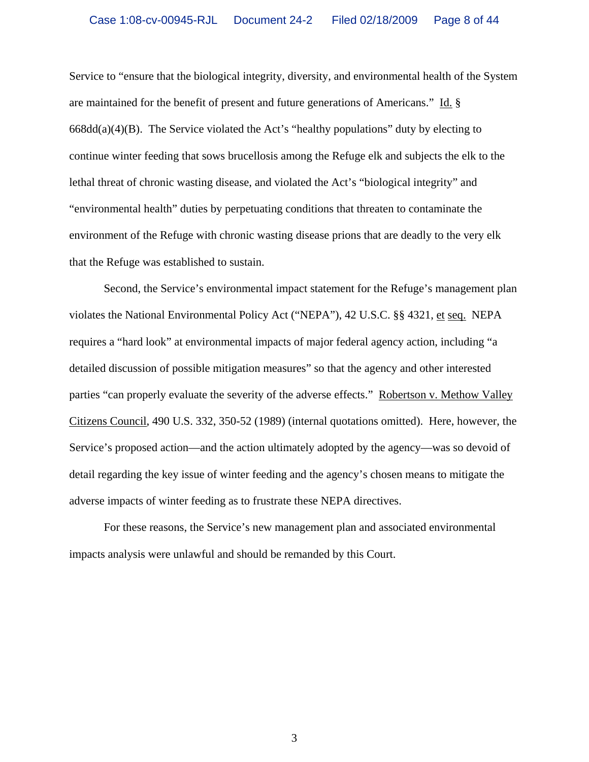Service to "ensure that the biological integrity, diversity, and environmental health of the System are maintained for the benefit of present and future generations of Americans." Id. § 668dd(a)(4)(B). The Service violated the Act's "healthy populations" duty by electing to continue winter feeding that sows brucellosis among the Refuge elk and subjects the elk to the lethal threat of chronic wasting disease, and violated the Act's "biological integrity" and "environmental health" duties by perpetuating conditions that threaten to contaminate the environment of the Refuge with chronic wasting disease prions that are deadly to the very elk that the Refuge was established to sustain.

 Second, the Service's environmental impact statement for the Refuge's management plan violates the National Environmental Policy Act ("NEPA"), 42 U.S.C. §§ 4321, et seq. NEPA requires a "hard look" at environmental impacts of major federal agency action, including "a detailed discussion of possible mitigation measures" so that the agency and other interested parties "can properly evaluate the severity of the adverse effects." Robertson v. Methow Valley Citizens Council, 490 U.S. 332, 350-52 (1989) (internal quotations omitted). Here, however, the Service's proposed action—and the action ultimately adopted by the agency—was so devoid of detail regarding the key issue of winter feeding and the agency's chosen means to mitigate the adverse impacts of winter feeding as to frustrate these NEPA directives.

 For these reasons, the Service's new management plan and associated environmental impacts analysis were unlawful and should be remanded by this Court.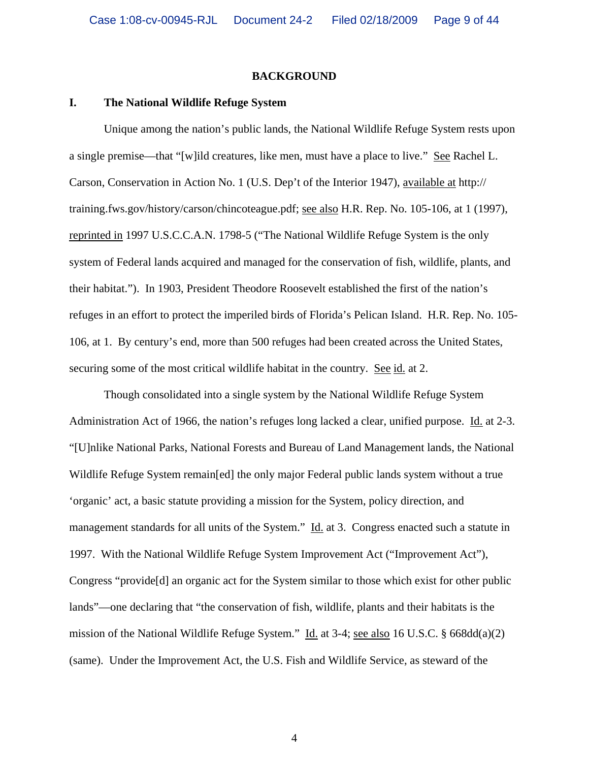#### **BACKGROUND**

#### **I. The National Wildlife Refuge System**

 Unique among the nation's public lands, the National Wildlife Refuge System rests upon a single premise—that "[w]ild creatures, like men, must have a place to live." See Rachel L. Carson, Conservation in Action No. 1 (U.S. Dep't of the Interior 1947), available at http:// training.fws.gov/history/carson/chincoteague.pdf; see also H.R. Rep. No. 105-106, at 1 (1997), reprinted in 1997 U.S.C.C.A.N. 1798-5 ("The National Wildlife Refuge System is the only system of Federal lands acquired and managed for the conservation of fish, wildlife, plants, and their habitat."). In 1903, President Theodore Roosevelt established the first of the nation's refuges in an effort to protect the imperiled birds of Florida's Pelican Island. H.R. Rep. No. 105- 106, at 1. By century's end, more than 500 refuges had been created across the United States, securing some of the most critical wildlife habitat in the country. See id. at 2.

 Though consolidated into a single system by the National Wildlife Refuge System Administration Act of 1966, the nation's refuges long lacked a clear, unified purpose. Id. at 2-3. "[U]nlike National Parks, National Forests and Bureau of Land Management lands, the National Wildlife Refuge System remain[ed] the only major Federal public lands system without a true 'organic' act, a basic statute providing a mission for the System, policy direction, and management standards for all units of the System." Id. at 3. Congress enacted such a statute in 1997. With the National Wildlife Refuge System Improvement Act ("Improvement Act"), Congress "provide[d] an organic act for the System similar to those which exist for other public lands"—one declaring that "the conservation of fish, wildlife, plants and their habitats is the mission of the National Wildlife Refuge System." Id. at 3-4; see also 16 U.S.C. § 668dd(a)(2) (same). Under the Improvement Act, the U.S. Fish and Wildlife Service, as steward of the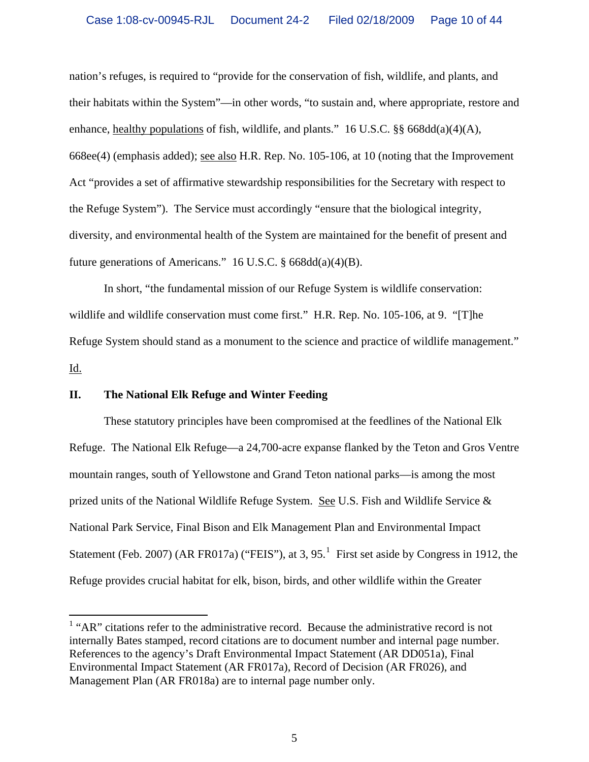nation's refuges, is required to "provide for the conservation of fish, wildlife, and plants, and their habitats within the System"—in other words, "to sustain and, where appropriate, restore and enhance, healthy populations of fish, wildlife, and plants." 16 U.S.C. §§ 668dd(a)(4)(A), 668ee(4) (emphasis added); see also H.R. Rep. No. 105-106, at 10 (noting that the Improvement Act "provides a set of affirmative stewardship responsibilities for the Secretary with respect to the Refuge System"). The Service must accordingly "ensure that the biological integrity, diversity, and environmental health of the System are maintained for the benefit of present and future generations of Americans." 16 U.S.C. § 668dd(a)(4)(B).

 In short, "the fundamental mission of our Refuge System is wildlife conservation: wildlife and wildlife conservation must come first." H.R. Rep. No. 105-106, at 9. "[T]he Refuge System should stand as a monument to the science and practice of wildlife management." Id.

### **II. The National Elk Refuge and Winter Feeding**

 These statutory principles have been compromised at the feedlines of the National Elk Refuge. The National Elk Refuge—a 24,700-acre expanse flanked by the Teton and Gros Ventre mountain ranges, south of Yellowstone and Grand Teton national parks—is among the most prized units of the National Wildlife Refuge System. See U.S. Fish and Wildlife Service & National Park Service, Final Bison and Elk Management Plan and Environmental Impact Statement (Feb. 2007) (AR FR0[1](#page-9-0)7a) ("FEIS"), at 3,  $95<sup>1</sup>$  First set aside by Congress in 1912, the Refuge provides crucial habitat for elk, bison, birds, and other wildlife within the Greater

<span id="page-9-0"></span><sup>&</sup>lt;sup>1</sup> "AR" citations refer to the administrative record. Because the administrative record is not internally Bates stamped, record citations are to document number and internal page number. References to the agency's Draft Environmental Impact Statement (AR DD051a), Final Environmental Impact Statement (AR FR017a), Record of Decision (AR FR026), and Management Plan (AR FR018a) are to internal page number only.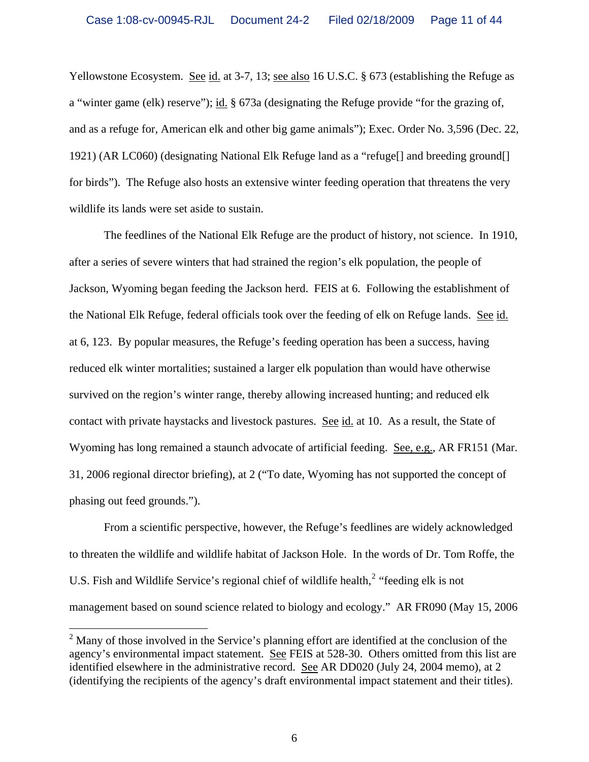Yellowstone Ecosystem. See id. at 3-7, 13; see also 16 U.S.C. § 673 (establishing the Refuge as a "winter game (elk) reserve"); id. § 673a (designating the Refuge provide "for the grazing of, and as a refuge for, American elk and other big game animals"); Exec. Order No. 3,596 (Dec. 22, 1921) (AR LC060) (designating National Elk Refuge land as a "refuge[] and breeding ground[] for birds"). The Refuge also hosts an extensive winter feeding operation that threatens the very wildlife its lands were set aside to sustain.

 The feedlines of the National Elk Refuge are the product of history, not science. In 1910, after a series of severe winters that had strained the region's elk population, the people of Jackson, Wyoming began feeding the Jackson herd. FEIS at 6. Following the establishment of the National Elk Refuge, federal officials took over the feeding of elk on Refuge lands. See id. at 6, 123. By popular measures, the Refuge's feeding operation has been a success, having reduced elk winter mortalities; sustained a larger elk population than would have otherwise survived on the region's winter range, thereby allowing increased hunting; and reduced elk contact with private haystacks and livestock pastures. See id. at 10. As a result, the State of Wyoming has long remained a staunch advocate of artificial feeding. See, e.g., AR FR151 (Mar. 31, 2006 regional director briefing), at 2 ("To date, Wyoming has not supported the concept of phasing out feed grounds.").

 From a scientific perspective, however, the Refuge's feedlines are widely acknowledged to threaten the wildlife and wildlife habitat of Jackson Hole. In the words of Dr. Tom Roffe, the U.S. Fish and Wildlife Service's regional chief of wildlife health, $2$  "feeding elk is not management based on sound science related to biology and ecology." AR FR090 (May 15, 2006

 $\overline{a}$ 

<span id="page-10-0"></span> $2^2$  Many of those involved in the Service's planning effort are identified at the conclusion of the agency's environmental impact statement. See FEIS at 528-30. Others omitted from this list are identified elsewhere in the administrative record. See AR DD020 (July 24, 2004 memo), at 2 (identifying the recipients of the agency's draft environmental impact statement and their titles).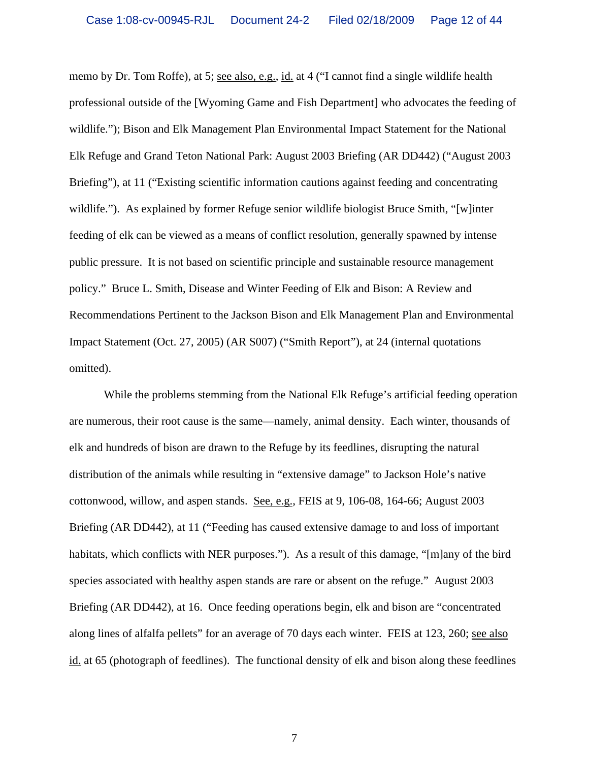memo by Dr. Tom Roffe), at 5; see also, e.g., id. at 4 ("I cannot find a single wildlife health professional outside of the [Wyoming Game and Fish Department] who advocates the feeding of wildlife."); Bison and Elk Management Plan Environmental Impact Statement for the National Elk Refuge and Grand Teton National Park: August 2003 Briefing (AR DD442) ("August 2003 Briefing"), at 11 ("Existing scientific information cautions against feeding and concentrating wildlife."). As explained by former Refuge senior wildlife biologist Bruce Smith, "[w]inter feeding of elk can be viewed as a means of conflict resolution, generally spawned by intense public pressure. It is not based on scientific principle and sustainable resource management policy." Bruce L. Smith, Disease and Winter Feeding of Elk and Bison: A Review and Recommendations Pertinent to the Jackson Bison and Elk Management Plan and Environmental Impact Statement (Oct. 27, 2005) (AR S007) ("Smith Report"), at 24 (internal quotations omitted).

 While the problems stemming from the National Elk Refuge's artificial feeding operation are numerous, their root cause is the same—namely, animal density. Each winter, thousands of elk and hundreds of bison are drawn to the Refuge by its feedlines, disrupting the natural distribution of the animals while resulting in "extensive damage" to Jackson Hole's native cottonwood, willow, and aspen stands. See, e.g., FEIS at 9, 106-08, 164-66; August 2003 Briefing (AR DD442), at 11 ("Feeding has caused extensive damage to and loss of important habitats, which conflicts with NER purposes."). As a result of this damage, "[m]any of the bird species associated with healthy aspen stands are rare or absent on the refuge." August 2003 Briefing (AR DD442), at 16. Once feeding operations begin, elk and bison are "concentrated along lines of alfalfa pellets" for an average of 70 days each winter. FEIS at 123, 260; see also id. at 65 (photograph of feedlines). The functional density of elk and bison along these feedlines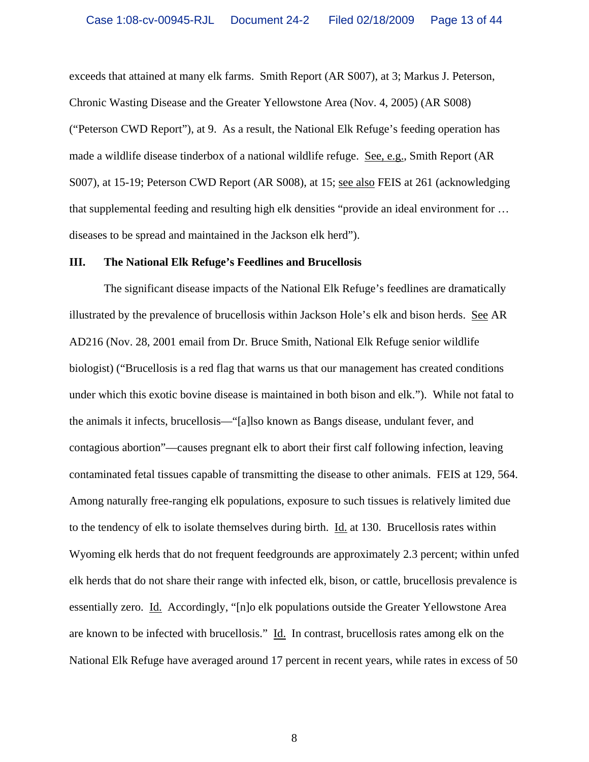exceeds that attained at many elk farms. Smith Report (AR S007), at 3; Markus J. Peterson, Chronic Wasting Disease and the Greater Yellowstone Area (Nov. 4, 2005) (AR S008) ("Peterson CWD Report"), at 9. As a result, the National Elk Refuge's feeding operation has made a wildlife disease tinderbox of a national wildlife refuge. See, e.g., Smith Report (AR S007), at 15-19; Peterson CWD Report (AR S008), at 15; see also FEIS at 261 (acknowledging that supplemental feeding and resulting high elk densities "provide an ideal environment for … diseases to be spread and maintained in the Jackson elk herd").

#### **III. The National Elk Refuge's Feedlines and Brucellosis**

 The significant disease impacts of the National Elk Refuge's feedlines are dramatically illustrated by the prevalence of brucellosis within Jackson Hole's elk and bison herds. See AR AD216 (Nov. 28, 2001 email from Dr. Bruce Smith, National Elk Refuge senior wildlife biologist) ("Brucellosis is a red flag that warns us that our management has created conditions under which this exotic bovine disease is maintained in both bison and elk."). While not fatal to the animals it infects, brucellosis—"[a]lso known as Bangs disease, undulant fever, and contagious abortion"—causes pregnant elk to abort their first calf following infection, leaving contaminated fetal tissues capable of transmitting the disease to other animals. FEIS at 129, 564. Among naturally free-ranging elk populations, exposure to such tissues is relatively limited due to the tendency of elk to isolate themselves during birth. Id. at 130. Brucellosis rates within Wyoming elk herds that do not frequent feedgrounds are approximately 2.3 percent; within unfed elk herds that do not share their range with infected elk, bison, or cattle, brucellosis prevalence is essentially zero. Id. Accordingly, "[n]o elk populations outside the Greater Yellowstone Area are known to be infected with brucellosis." Id. In contrast, brucellosis rates among elk on the National Elk Refuge have averaged around 17 percent in recent years, while rates in excess of 50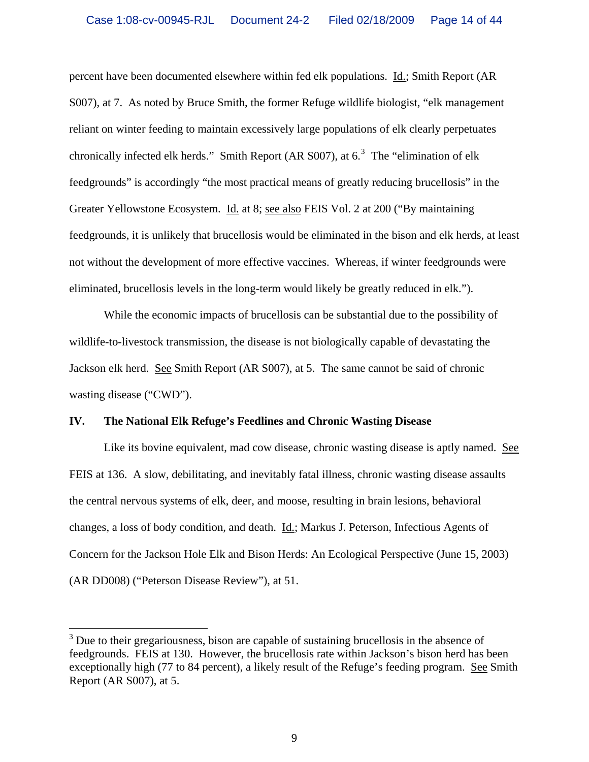percent have been documented elsewhere within fed elk populations. Id.; Smith Report (AR S007), at 7. As noted by Bruce Smith, the former Refuge wildlife biologist, "elk management reliant on winter feeding to maintain excessively large populations of elk clearly perpetuates chronically infected elk herds." Smith Report (AR S007), at  $6.3$  $6.3$  The "elimination of elk feedgrounds" is accordingly "the most practical means of greatly reducing brucellosis" in the Greater Yellowstone Ecosystem. Id. at 8; see also FEIS Vol. 2 at 200 ("By maintaining feedgrounds, it is unlikely that brucellosis would be eliminated in the bison and elk herds, at least not without the development of more effective vaccines. Whereas, if winter feedgrounds were eliminated, brucellosis levels in the long-term would likely be greatly reduced in elk.").

 While the economic impacts of brucellosis can be substantial due to the possibility of wildlife-to-livestock transmission, the disease is not biologically capable of devastating the Jackson elk herd. See Smith Report (AR S007), at 5. The same cannot be said of chronic wasting disease ("CWD").

#### **IV. The National Elk Refuge's Feedlines and Chronic Wasting Disease**

 $\overline{a}$ 

Like its bovine equivalent, mad cow disease, chronic wasting disease is aptly named. See FEIS at 136. A slow, debilitating, and inevitably fatal illness, chronic wasting disease assaults the central nervous systems of elk, deer, and moose, resulting in brain lesions, behavioral changes, a loss of body condition, and death. Id.; Markus J. Peterson, Infectious Agents of Concern for the Jackson Hole Elk and Bison Herds: An Ecological Perspective (June 15, 2003) (AR DD008) ("Peterson Disease Review"), at 51.

<span id="page-13-0"></span> $3$  Due to their gregariousness, bison are capable of sustaining brucellosis in the absence of feedgrounds. FEIS at 130. However, the brucellosis rate within Jackson's bison herd has been exceptionally high (77 to 84 percent), a likely result of the Refuge's feeding program. See Smith Report (AR S007), at 5.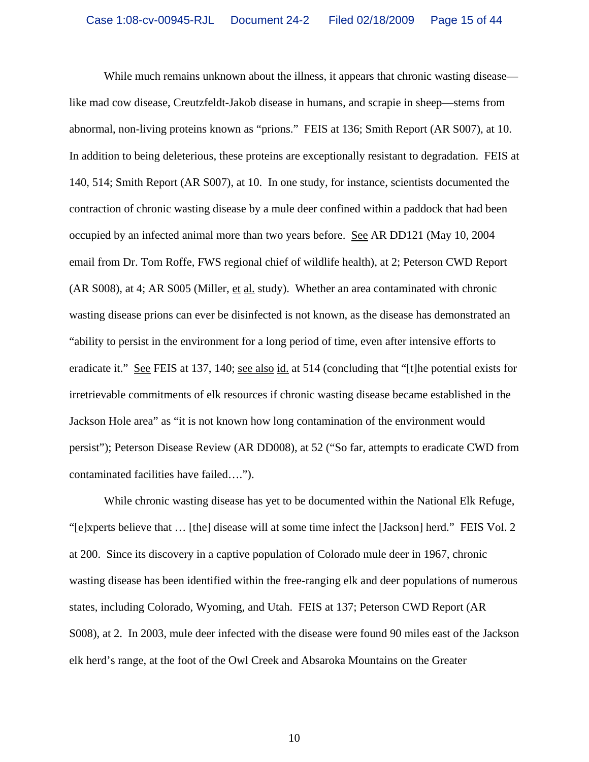While much remains unknown about the illness, it appears that chronic wasting disease like mad cow disease, Creutzfeldt-Jakob disease in humans, and scrapie in sheep—stems from abnormal, non-living proteins known as "prions." FEIS at 136; Smith Report (AR S007), at 10. In addition to being deleterious, these proteins are exceptionally resistant to degradation. FEIS at 140, 514; Smith Report (AR S007), at 10. In one study, for instance, scientists documented the contraction of chronic wasting disease by a mule deer confined within a paddock that had been occupied by an infected animal more than two years before. See AR DD121 (May 10, 2004 email from Dr. Tom Roffe, FWS regional chief of wildlife health), at 2; Peterson CWD Report (AR S008), at 4; AR S005 (Miller, et al. study). Whether an area contaminated with chronic wasting disease prions can ever be disinfected is not known, as the disease has demonstrated an "ability to persist in the environment for a long period of time, even after intensive efforts to eradicate it." See FEIS at 137, 140; see also id. at 514 (concluding that "[t]he potential exists for irretrievable commitments of elk resources if chronic wasting disease became established in the Jackson Hole area" as "it is not known how long contamination of the environment would persist"); Peterson Disease Review (AR DD008), at 52 ("So far, attempts to eradicate CWD from contaminated facilities have failed….").

 While chronic wasting disease has yet to be documented within the National Elk Refuge, "[e]xperts believe that … [the] disease will at some time infect the [Jackson] herd." FEIS Vol. 2 at 200. Since its discovery in a captive population of Colorado mule deer in 1967, chronic wasting disease has been identified within the free-ranging elk and deer populations of numerous states, including Colorado, Wyoming, and Utah. FEIS at 137; Peterson CWD Report (AR S008), at 2. In 2003, mule deer infected with the disease were found 90 miles east of the Jackson elk herd's range, at the foot of the Owl Creek and Absaroka Mountains on the Greater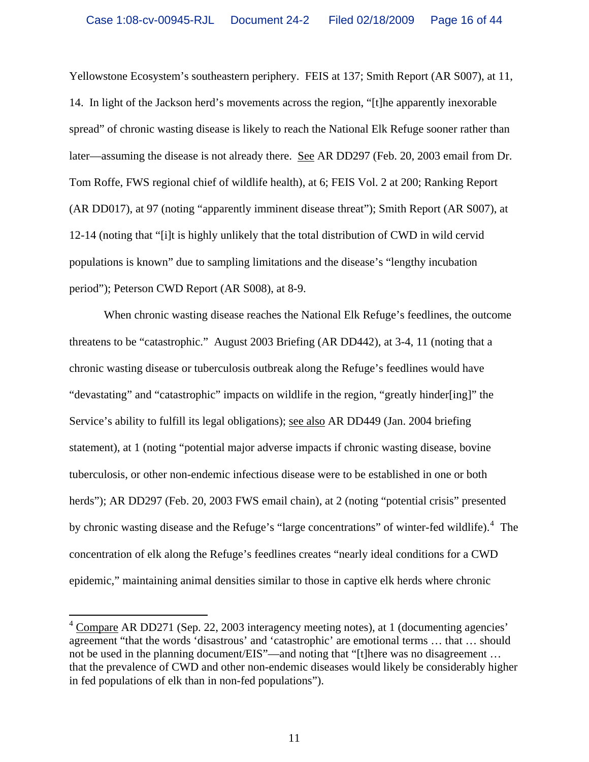Yellowstone Ecosystem's southeastern periphery. FEIS at 137; Smith Report (AR S007), at 11, 14. In light of the Jackson herd's movements across the region, "[t]he apparently inexorable spread" of chronic wasting disease is likely to reach the National Elk Refuge sooner rather than later—assuming the disease is not already there. See AR DD297 (Feb. 20, 2003 email from Dr. Tom Roffe, FWS regional chief of wildlife health), at 6; FEIS Vol. 2 at 200; Ranking Report (AR DD017), at 97 (noting "apparently imminent disease threat"); Smith Report (AR S007), at 12-14 (noting that "[i]t is highly unlikely that the total distribution of CWD in wild cervid populations is known" due to sampling limitations and the disease's "lengthy incubation period"); Peterson CWD Report (AR S008), at 8-9.

 When chronic wasting disease reaches the National Elk Refuge's feedlines, the outcome threatens to be "catastrophic." August 2003 Briefing (AR DD442), at 3-4, 11 (noting that a chronic wasting disease or tuberculosis outbreak along the Refuge's feedlines would have "devastating" and "catastrophic" impacts on wildlife in the region, "greatly hinder[ing]" the Service's ability to fulfill its legal obligations); see also AR DD449 (Jan. 2004 briefing statement), at 1 (noting "potential major adverse impacts if chronic wasting disease, bovine tuberculosis, or other non-endemic infectious disease were to be established in one or both herds"); AR DD297 (Feb. 20, 2003 FWS email chain), at 2 (noting "potential crisis" presented by chronic wasting disease and the Refuge's "large concentrations" of winter-fed wildlife).<sup>[4](#page-15-0)</sup> The concentration of elk along the Refuge's feedlines creates "nearly ideal conditions for a CWD epidemic," maintaining animal densities similar to those in captive elk herds where chronic

<span id="page-15-0"></span> $4 \overline{\text{Compare}}$  AR DD271 (Sep. 22, 2003 interagency meeting notes), at 1 (documenting agencies' agreement "that the words 'disastrous' and 'catastrophic' are emotional terms … that … should not be used in the planning document/EIS"—and noting that "[t]here was no disagreement … that the prevalence of CWD and other non-endemic diseases would likely be considerably higher in fed populations of elk than in non-fed populations").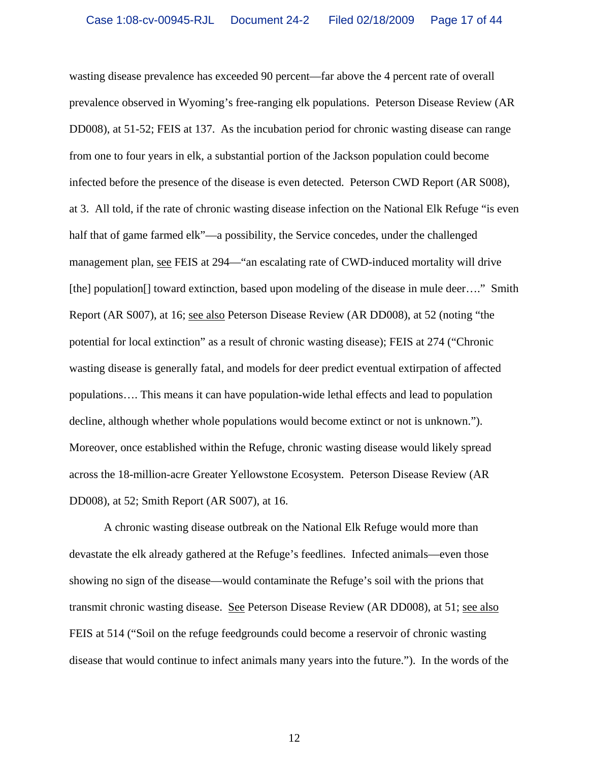wasting disease prevalence has exceeded 90 percent—far above the 4 percent rate of overall prevalence observed in Wyoming's free-ranging elk populations. Peterson Disease Review (AR DD008), at 51-52; FEIS at 137. As the incubation period for chronic wasting disease can range from one to four years in elk, a substantial portion of the Jackson population could become infected before the presence of the disease is even detected. Peterson CWD Report (AR S008), at 3. All told, if the rate of chronic wasting disease infection on the National Elk Refuge "is even half that of game farmed elk"—a possibility, the Service concedes, under the challenged management plan, see FEIS at 294—"an escalating rate of CWD-induced mortality will drive [the] population<sup>[]</sup> toward extinction, based upon modeling of the disease in mule deer...." Smith Report (AR S007), at 16; see also Peterson Disease Review (AR DD008), at 52 (noting "the potential for local extinction" as a result of chronic wasting disease); FEIS at 274 ("Chronic wasting disease is generally fatal, and models for deer predict eventual extirpation of affected populations…. This means it can have population-wide lethal effects and lead to population decline, although whether whole populations would become extinct or not is unknown."). Moreover, once established within the Refuge, chronic wasting disease would likely spread across the 18-million-acre Greater Yellowstone Ecosystem. Peterson Disease Review (AR DD008), at 52; Smith Report (AR S007), at 16.

 A chronic wasting disease outbreak on the National Elk Refuge would more than devastate the elk already gathered at the Refuge's feedlines. Infected animals—even those showing no sign of the disease—would contaminate the Refuge's soil with the prions that transmit chronic wasting disease. See Peterson Disease Review (AR DD008), at 51; see also FEIS at 514 ("Soil on the refuge feedgrounds could become a reservoir of chronic wasting disease that would continue to infect animals many years into the future."). In the words of the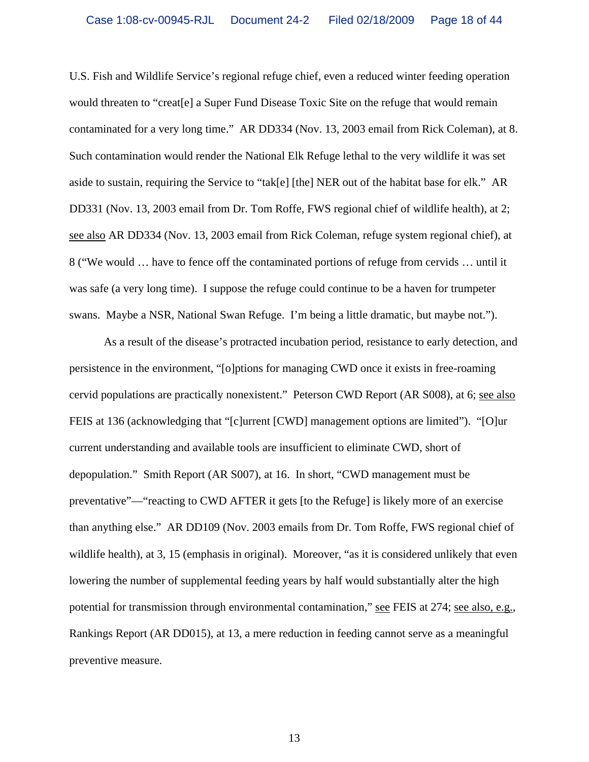U.S. Fish and Wildlife Service's regional refuge chief, even a reduced winter feeding operation would threaten to "creat[e] a Super Fund Disease Toxic Site on the refuge that would remain contaminated for a very long time." AR DD334 (Nov. 13, 2003 email from Rick Coleman), at 8. Such contamination would render the National Elk Refuge lethal to the very wildlife it was set aside to sustain, requiring the Service to "tak[e] [the] NER out of the habitat base for elk." AR DD331 (Nov. 13, 2003 email from Dr. Tom Roffe, FWS regional chief of wildlife health), at 2; see also AR DD334 (Nov. 13, 2003 email from Rick Coleman, refuge system regional chief), at 8 ("We would … have to fence off the contaminated portions of refuge from cervids … until it was safe (a very long time). I suppose the refuge could continue to be a haven for trumpeter swans. Maybe a NSR, National Swan Refuge. I'm being a little dramatic, but maybe not.").

 As a result of the disease's protracted incubation period, resistance to early detection, and persistence in the environment, "[o]ptions for managing CWD once it exists in free-roaming cervid populations are practically nonexistent." Peterson CWD Report (AR S008), at 6; see also FEIS at 136 (acknowledging that "[c]urrent [CWD] management options are limited"). "[O]ur current understanding and available tools are insufficient to eliminate CWD, short of depopulation." Smith Report (AR S007), at 16. In short, "CWD management must be preventative"—"reacting to CWD AFTER it gets [to the Refuge] is likely more of an exercise than anything else." AR DD109 (Nov. 2003 emails from Dr. Tom Roffe, FWS regional chief of wildlife health), at 3, 15 (emphasis in original). Moreover, "as it is considered unlikely that even lowering the number of supplemental feeding years by half would substantially alter the high potential for transmission through environmental contamination," see FEIS at 274; see also, e.g., Rankings Report (AR DD015), at 13, a mere reduction in feeding cannot serve as a meaningful preventive measure.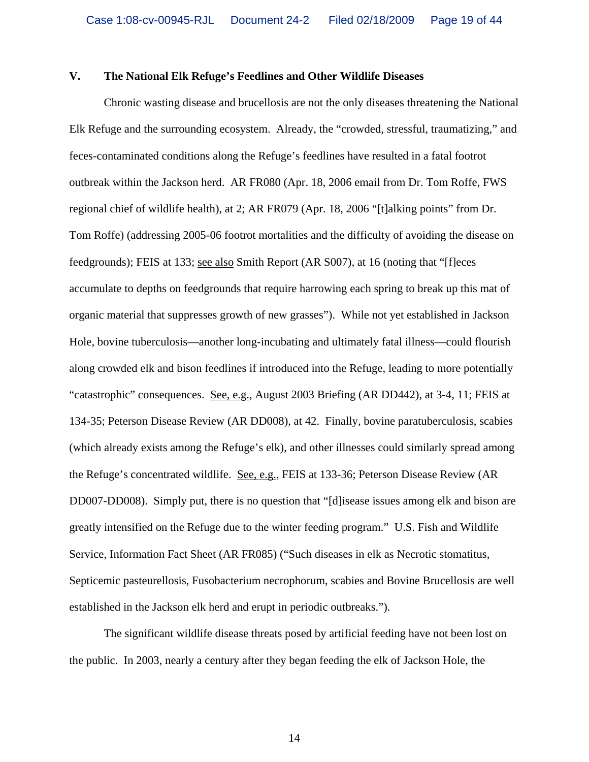#### **V. The National Elk Refuge's Feedlines and Other Wildlife Diseases**

 Chronic wasting disease and brucellosis are not the only diseases threatening the National Elk Refuge and the surrounding ecosystem. Already, the "crowded, stressful, traumatizing," and feces-contaminated conditions along the Refuge's feedlines have resulted in a fatal footrot outbreak within the Jackson herd. AR FR080 (Apr. 18, 2006 email from Dr. Tom Roffe, FWS regional chief of wildlife health), at 2; AR FR079 (Apr. 18, 2006 "[t]alking points" from Dr. Tom Roffe) (addressing 2005-06 footrot mortalities and the difficulty of avoiding the disease on feedgrounds); FEIS at 133; see also Smith Report (AR S007), at 16 (noting that "[f]eces accumulate to depths on feedgrounds that require harrowing each spring to break up this mat of organic material that suppresses growth of new grasses"). While not yet established in Jackson Hole, bovine tuberculosis—another long-incubating and ultimately fatal illness—could flourish along crowded elk and bison feedlines if introduced into the Refuge, leading to more potentially "catastrophic" consequences. See, e.g., August 2003 Briefing (AR DD442), at 3-4, 11; FEIS at 134-35; Peterson Disease Review (AR DD008), at 42. Finally, bovine paratuberculosis, scabies (which already exists among the Refuge's elk), and other illnesses could similarly spread among the Refuge's concentrated wildlife. See, e.g., FEIS at 133-36; Peterson Disease Review (AR DD007-DD008). Simply put, there is no question that "[d]isease issues among elk and bison are greatly intensified on the Refuge due to the winter feeding program." U.S. Fish and Wildlife Service, Information Fact Sheet (AR FR085) ("Such diseases in elk as Necrotic stomatitus, Septicemic pasteurellosis, Fusobacterium necrophorum, scabies and Bovine Brucellosis are well established in the Jackson elk herd and erupt in periodic outbreaks.").

 The significant wildlife disease threats posed by artificial feeding have not been lost on the public. In 2003, nearly a century after they began feeding the elk of Jackson Hole, the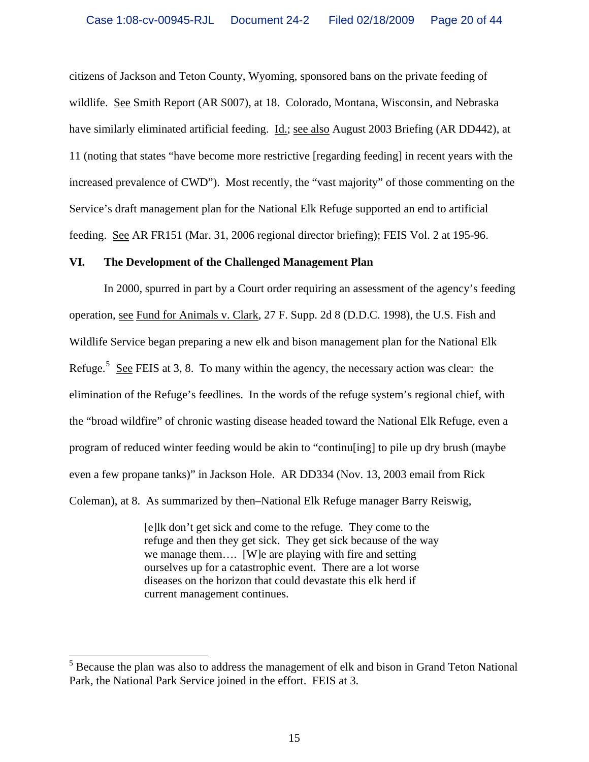citizens of Jackson and Teton County, Wyoming, sponsored bans on the private feeding of wildlife. See Smith Report (AR S007), at 18. Colorado, Montana, Wisconsin, and Nebraska have similarly eliminated artificial feeding. Id.; see also August 2003 Briefing (AR DD442), at 11 (noting that states "have become more restrictive [regarding feeding] in recent years with the increased prevalence of CWD"). Most recently, the "vast majority" of those commenting on the Service's draft management plan for the National Elk Refuge supported an end to artificial feeding. See AR FR151 (Mar. 31, 2006 regional director briefing); FEIS Vol. 2 at 195-96.

#### **VI. The Development of the Challenged Management Plan**

 In 2000, spurred in part by a Court order requiring an assessment of the agency's feeding operation, see Fund for Animals v. Clark, 27 F. Supp. 2d 8 (D.D.C. 1998), the U.S. Fish and Wildlife Service began preparing a new elk and bison management plan for the National Elk Refuge.<sup>[5](#page-19-0)</sup> See FEIS at 3, 8. To many within the agency, the necessary action was clear: the elimination of the Refuge's feedlines. In the words of the refuge system's regional chief, with the "broad wildfire" of chronic wasting disease headed toward the National Elk Refuge, even a program of reduced winter feeding would be akin to "continu[ing] to pile up dry brush (maybe even a few propane tanks)" in Jackson Hole. AR DD334 (Nov. 13, 2003 email from Rick Coleman), at 8. As summarized by then–National Elk Refuge manager Barry Reiswig,

> [e]lk don't get sick and come to the refuge. They come to the refuge and then they get sick. They get sick because of the way we manage them…. [W]e are playing with fire and setting ourselves up for a catastrophic event. There are a lot worse diseases on the horizon that could devastate this elk herd if current management continues.

 $\overline{a}$ 

<span id="page-19-0"></span><sup>&</sup>lt;sup>5</sup> Because the plan was also to address the management of elk and bison in Grand Teton National Park, the National Park Service joined in the effort. FEIS at 3.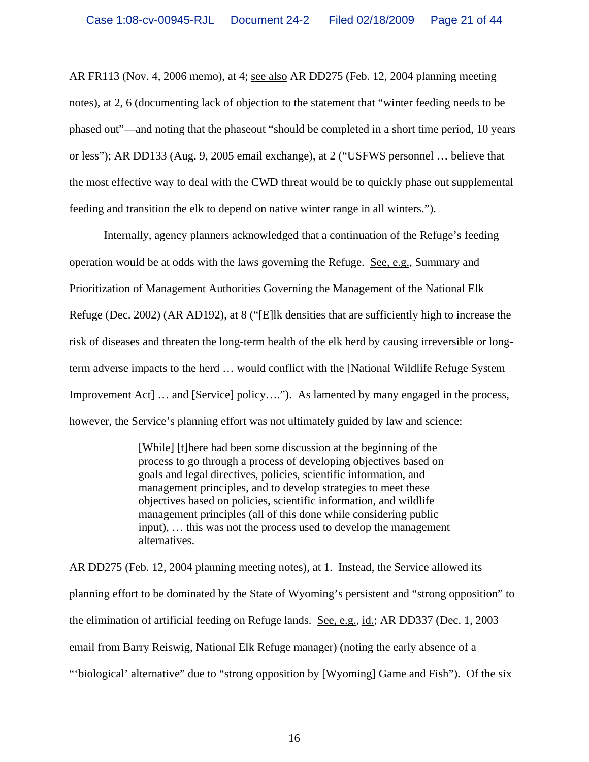AR FR113 (Nov. 4, 2006 memo), at 4; see also AR DD275 (Feb. 12, 2004 planning meeting notes), at 2, 6 (documenting lack of objection to the statement that "winter feeding needs to be phased out"—and noting that the phaseout "should be completed in a short time period, 10 years or less"); AR DD133 (Aug. 9, 2005 email exchange), at 2 ("USFWS personnel … believe that the most effective way to deal with the CWD threat would be to quickly phase out supplemental feeding and transition the elk to depend on native winter range in all winters.").

 Internally, agency planners acknowledged that a continuation of the Refuge's feeding operation would be at odds with the laws governing the Refuge. See, e.g., Summary and Prioritization of Management Authorities Governing the Management of the National Elk Refuge (Dec. 2002) (AR AD192), at 8 ("[E]lk densities that are sufficiently high to increase the risk of diseases and threaten the long-term health of the elk herd by causing irreversible or longterm adverse impacts to the herd … would conflict with the [National Wildlife Refuge System Improvement Act  $\lfloor \ldots \rfloor$  and  $\lfloor$  Service  $\rfloor$  policy…."). As lamented by many engaged in the process, however, the Service's planning effort was not ultimately guided by law and science:

> [While] [t]here had been some discussion at the beginning of the process to go through a process of developing objectives based on goals and legal directives, policies, scientific information, and management principles, and to develop strategies to meet these objectives based on policies, scientific information, and wildlife management principles (all of this done while considering public input), … this was not the process used to develop the management alternatives.

AR DD275 (Feb. 12, 2004 planning meeting notes), at 1. Instead, the Service allowed its planning effort to be dominated by the State of Wyoming's persistent and "strong opposition" to the elimination of artificial feeding on Refuge lands. See, e.g., id.; AR DD337 (Dec. 1, 2003 email from Barry Reiswig, National Elk Refuge manager) (noting the early absence of a "'biological' alternative" due to "strong opposition by [Wyoming] Game and Fish"). Of the six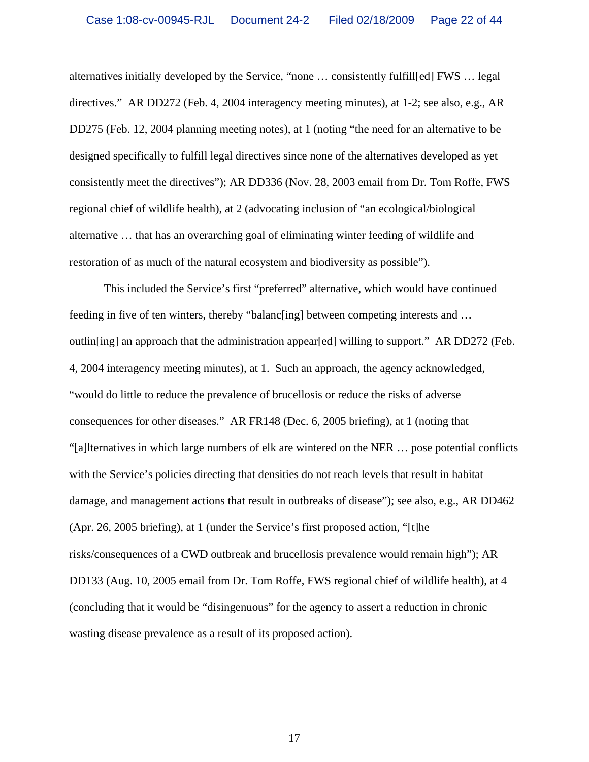alternatives initially developed by the Service, "none … consistently fulfill[ed] FWS … legal directives." AR DD272 (Feb. 4, 2004 interagency meeting minutes), at 1-2; see also, e.g., AR DD275 (Feb. 12, 2004 planning meeting notes), at 1 (noting "the need for an alternative to be designed specifically to fulfill legal directives since none of the alternatives developed as yet consistently meet the directives"); AR DD336 (Nov. 28, 2003 email from Dr. Tom Roffe, FWS regional chief of wildlife health), at 2 (advocating inclusion of "an ecological/biological alternative … that has an overarching goal of eliminating winter feeding of wildlife and restoration of as much of the natural ecosystem and biodiversity as possible").

 This included the Service's first "preferred" alternative, which would have continued feeding in five of ten winters, thereby "balanc[ing] between competing interests and … outlin[ing] an approach that the administration appear[ed] willing to support." AR DD272 (Feb. 4, 2004 interagency meeting minutes), at 1. Such an approach, the agency acknowledged, "would do little to reduce the prevalence of brucellosis or reduce the risks of adverse consequences for other diseases." AR FR148 (Dec. 6, 2005 briefing), at 1 (noting that "[a]lternatives in which large numbers of elk are wintered on the NER … pose potential conflicts with the Service's policies directing that densities do not reach levels that result in habitat damage, and management actions that result in outbreaks of disease"); see also, e.g., AR DD462 (Apr. 26, 2005 briefing), at 1 (under the Service's first proposed action, "[t]he risks/consequences of a CWD outbreak and brucellosis prevalence would remain high"); AR DD133 (Aug. 10, 2005 email from Dr. Tom Roffe, FWS regional chief of wildlife health), at 4 (concluding that it would be "disingenuous" for the agency to assert a reduction in chronic wasting disease prevalence as a result of its proposed action).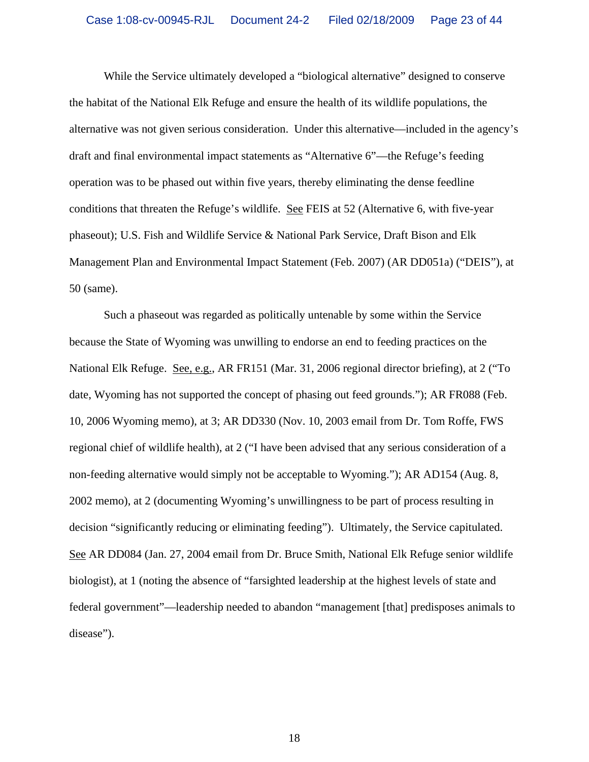While the Service ultimately developed a "biological alternative" designed to conserve the habitat of the National Elk Refuge and ensure the health of its wildlife populations, the alternative was not given serious consideration. Under this alternative—included in the agency's draft and final environmental impact statements as "Alternative 6"—the Refuge's feeding operation was to be phased out within five years, thereby eliminating the dense feedline conditions that threaten the Refuge's wildlife. See FEIS at 52 (Alternative 6, with five-year phaseout); U.S. Fish and Wildlife Service & National Park Service, Draft Bison and Elk Management Plan and Environmental Impact Statement (Feb. 2007) (AR DD051a) ("DEIS"), at 50 (same).

 Such a phaseout was regarded as politically untenable by some within the Service because the State of Wyoming was unwilling to endorse an end to feeding practices on the National Elk Refuge. See, e.g., AR FR151 (Mar. 31, 2006 regional director briefing), at 2 ("To date, Wyoming has not supported the concept of phasing out feed grounds."); AR FR088 (Feb. 10, 2006 Wyoming memo), at 3; AR DD330 (Nov. 10, 2003 email from Dr. Tom Roffe, FWS regional chief of wildlife health), at 2 ("I have been advised that any serious consideration of a non-feeding alternative would simply not be acceptable to Wyoming."); AR AD154 (Aug. 8, 2002 memo), at 2 (documenting Wyoming's unwillingness to be part of process resulting in decision "significantly reducing or eliminating feeding"). Ultimately, the Service capitulated. See AR DD084 (Jan. 27, 2004 email from Dr. Bruce Smith, National Elk Refuge senior wildlife biologist), at 1 (noting the absence of "farsighted leadership at the highest levels of state and federal government"—leadership needed to abandon "management [that] predisposes animals to disease").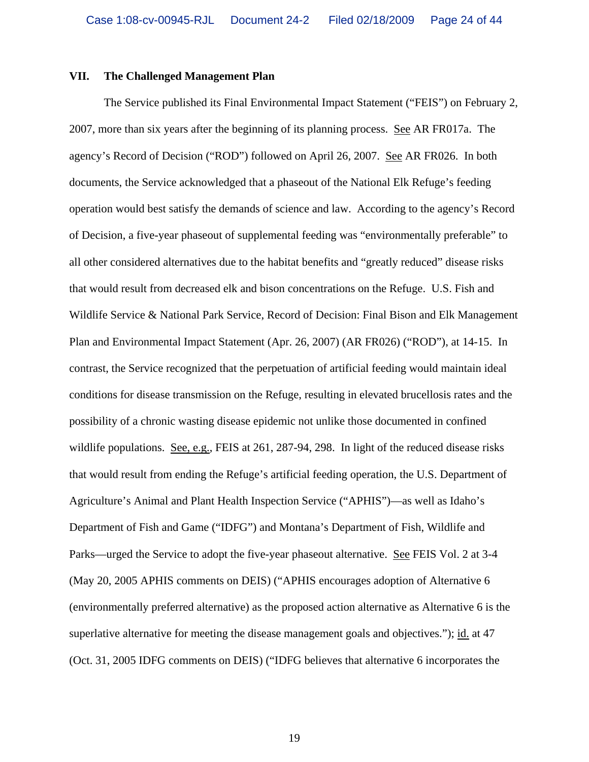#### **VII. The Challenged Management Plan**

The Service published its Final Environmental Impact Statement ("FEIS") on February 2, 2007, more than six years after the beginning of its planning process. See AR FR017a. The agency's Record of Decision ("ROD") followed on April 26, 2007. See AR FR026. In both documents, the Service acknowledged that a phaseout of the National Elk Refuge's feeding operation would best satisfy the demands of science and law. According to the agency's Record of Decision, a five-year phaseout of supplemental feeding was "environmentally preferable" to all other considered alternatives due to the habitat benefits and "greatly reduced" disease risks that would result from decreased elk and bison concentrations on the Refuge. U.S. Fish and Wildlife Service & National Park Service, Record of Decision: Final Bison and Elk Management Plan and Environmental Impact Statement (Apr. 26, 2007) (AR FR026) ("ROD"), at 14-15. In contrast, the Service recognized that the perpetuation of artificial feeding would maintain ideal conditions for disease transmission on the Refuge, resulting in elevated brucellosis rates and the possibility of a chronic wasting disease epidemic not unlike those documented in confined wildlife populations. See, e.g., FEIS at 261, 287-94, 298. In light of the reduced disease risks that would result from ending the Refuge's artificial feeding operation, the U.S. Department of Agriculture's Animal and Plant Health Inspection Service ("APHIS")—as well as Idaho's Department of Fish and Game ("IDFG") and Montana's Department of Fish, Wildlife and Parks—urged the Service to adopt the five-year phaseout alternative. See FEIS Vol. 2 at 3-4 (May 20, 2005 APHIS comments on DEIS) ("APHIS encourages adoption of Alternative 6 (environmentally preferred alternative) as the proposed action alternative as Alternative 6 is the superlative alternative for meeting the disease management goals and objectives."); id. at 47 (Oct. 31, 2005 IDFG comments on DEIS) ("IDFG believes that alternative 6 incorporates the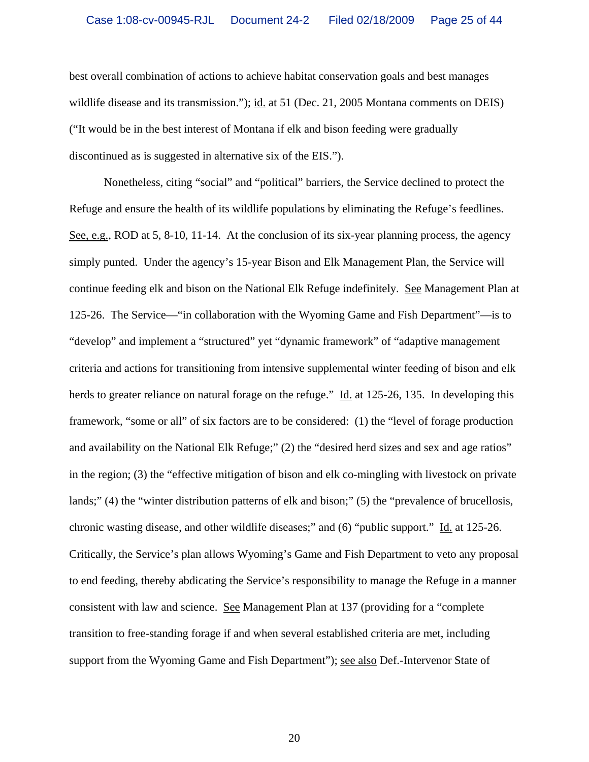best overall combination of actions to achieve habitat conservation goals and best manages wildlife disease and its transmission."); id. at 51 (Dec. 21, 2005 Montana comments on DEIS) ("It would be in the best interest of Montana if elk and bison feeding were gradually discontinued as is suggested in alternative six of the EIS.").

 Nonetheless, citing "social" and "political" barriers, the Service declined to protect the Refuge and ensure the health of its wildlife populations by eliminating the Refuge's feedlines. See, e.g., ROD at 5, 8-10, 11-14. At the conclusion of its six-year planning process, the agency simply punted. Under the agency's 15-year Bison and Elk Management Plan, the Service will continue feeding elk and bison on the National Elk Refuge indefinitely. See Management Plan at 125-26. The Service—"in collaboration with the Wyoming Game and Fish Department"—is to "develop" and implement a "structured" yet "dynamic framework" of "adaptive management criteria and actions for transitioning from intensive supplemental winter feeding of bison and elk herds to greater reliance on natural forage on the refuge." Id. at 125-26, 135. In developing this framework, "some or all" of six factors are to be considered: (1) the "level of forage production and availability on the National Elk Refuge;" (2) the "desired herd sizes and sex and age ratios" in the region; (3) the "effective mitigation of bison and elk co-mingling with livestock on private lands;" (4) the "winter distribution patterns of elk and bison;" (5) the "prevalence of brucellosis, chronic wasting disease, and other wildlife diseases;" and (6) "public support." Id. at 125-26. Critically, the Service's plan allows Wyoming's Game and Fish Department to veto any proposal to end feeding, thereby abdicating the Service's responsibility to manage the Refuge in a manner consistent with law and science. See Management Plan at 137 (providing for a "complete transition to free-standing forage if and when several established criteria are met, including support from the Wyoming Game and Fish Department"); see also Def.-Intervenor State of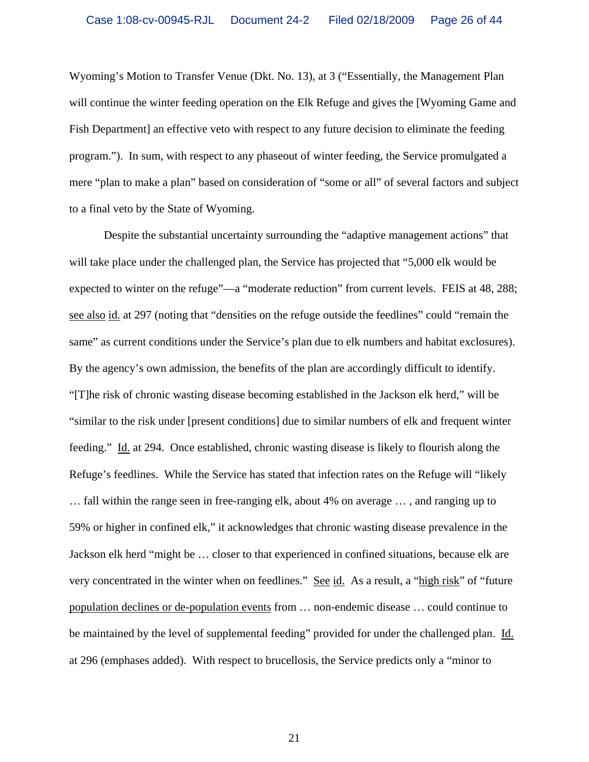Wyoming's Motion to Transfer Venue (Dkt. No. 13), at 3 ("Essentially, the Management Plan will continue the winter feeding operation on the Elk Refuge and gives the [Wyoming Game and Fish Department] an effective veto with respect to any future decision to eliminate the feeding program."). In sum, with respect to any phaseout of winter feeding, the Service promulgated a mere "plan to make a plan" based on consideration of "some or all" of several factors and subject to a final veto by the State of Wyoming.

 Despite the substantial uncertainty surrounding the "adaptive management actions" that will take place under the challenged plan, the Service has projected that "5,000 elk would be expected to winter on the refuge"—a "moderate reduction" from current levels. FEIS at 48, 288; see also id. at 297 (noting that "densities on the refuge outside the feedlines" could "remain the same" as current conditions under the Service's plan due to elk numbers and habitat exclosures). By the agency's own admission, the benefits of the plan are accordingly difficult to identify. "[T]he risk of chronic wasting disease becoming established in the Jackson elk herd," will be "similar to the risk under [present conditions] due to similar numbers of elk and frequent winter feeding." Id. at 294. Once established, chronic wasting disease is likely to flourish along the Refuge's feedlines. While the Service has stated that infection rates on the Refuge will "likely … fall within the range seen in free-ranging elk, about 4% on average … , and ranging up to 59% or higher in confined elk," it acknowledges that chronic wasting disease prevalence in the Jackson elk herd "might be … closer to that experienced in confined situations, because elk are very concentrated in the winter when on feedlines." See id. As a result, a "high risk" of "future population declines or de-population events from … non-endemic disease … could continue to be maintained by the level of supplemental feeding" provided for under the challenged plan. Id. at 296 (emphases added). With respect to brucellosis, the Service predicts only a "minor to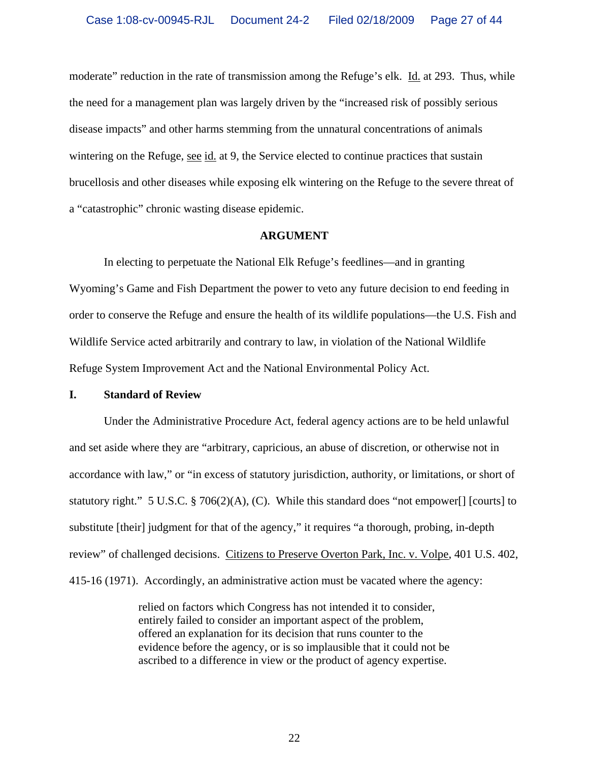moderate" reduction in the rate of transmission among the Refuge's elk. Id. at 293. Thus, while the need for a management plan was largely driven by the "increased risk of possibly serious disease impacts" and other harms stemming from the unnatural concentrations of animals wintering on the Refuge, see id. at 9, the Service elected to continue practices that sustain brucellosis and other diseases while exposing elk wintering on the Refuge to the severe threat of a "catastrophic" chronic wasting disease epidemic.

#### **ARGUMENT**

 In electing to perpetuate the National Elk Refuge's feedlines—and in granting Wyoming's Game and Fish Department the power to veto any future decision to end feeding in order to conserve the Refuge and ensure the health of its wildlife populations—the U.S. Fish and Wildlife Service acted arbitrarily and contrary to law, in violation of the National Wildlife Refuge System Improvement Act and the National Environmental Policy Act.

#### **I. Standard of Review**

 Under the Administrative Procedure Act, federal agency actions are to be held unlawful and set aside where they are "arbitrary, capricious, an abuse of discretion, or otherwise not in accordance with law," or "in excess of statutory jurisdiction, authority, or limitations, or short of statutory right." 5 U.S.C. § 706(2)(A), (C). While this standard does "not empower[] [courts] to substitute [their] judgment for that of the agency," it requires "a thorough, probing, in-depth review" of challenged decisions. Citizens to Preserve Overton Park, Inc. v. Volpe, 401 U.S. 402, 415-16 (1971). Accordingly, an administrative action must be vacated where the agency:

> relied on factors which Congress has not intended it to consider, entirely failed to consider an important aspect of the problem, offered an explanation for its decision that runs counter to the evidence before the agency, or is so implausible that it could not be ascribed to a difference in view or the product of agency expertise.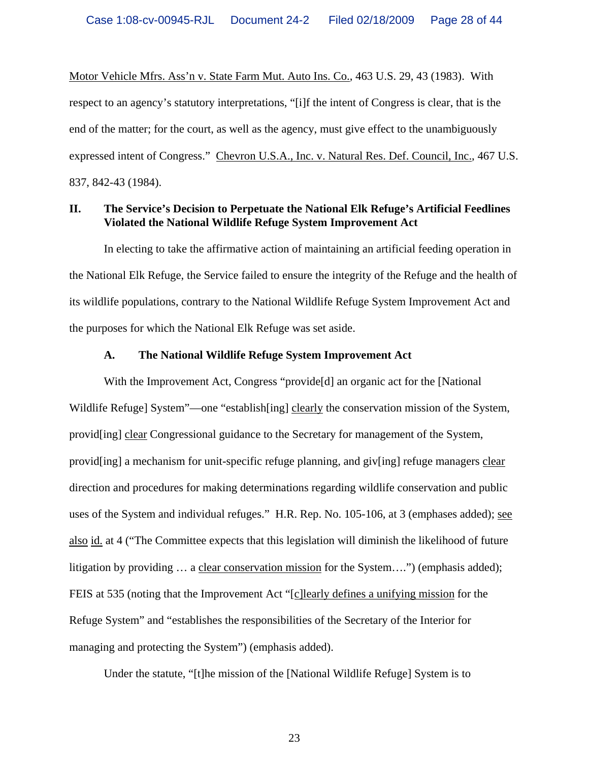Motor Vehicle Mfrs. Ass'n v. State Farm Mut. Auto Ins. Co., 463 U.S. 29, 43 (1983). With respect to an agency's statutory interpretations, "[i]f the intent of Congress is clear, that is the end of the matter; for the court, as well as the agency, must give effect to the unambiguously expressed intent of Congress." Chevron U.S.A., Inc. v. Natural Res. Def. Council, Inc., 467 U.S. 837, 842-43 (1984).

### **II. The Service's Decision to Perpetuate the National Elk Refuge's Artificial Feedlines Violated the National Wildlife Refuge System Improvement Act**

 In electing to take the affirmative action of maintaining an artificial feeding operation in the National Elk Refuge, the Service failed to ensure the integrity of the Refuge and the health of its wildlife populations, contrary to the National Wildlife Refuge System Improvement Act and the purposes for which the National Elk Refuge was set aside.

#### **A. The National Wildlife Refuge System Improvement Act**

 With the Improvement Act, Congress "provide[d] an organic act for the [National Wildlife Refuge] System"—one "establish[ing] clearly the conservation mission of the System, provid[ing] clear Congressional guidance to the Secretary for management of the System, provid[ing] a mechanism for unit-specific refuge planning, and giv[ing] refuge managers clear direction and procedures for making determinations regarding wildlife conservation and public uses of the System and individual refuges." H.R. Rep. No. 105-106, at 3 (emphases added); see also id. at 4 ("The Committee expects that this legislation will diminish the likelihood of future litigation by providing … a clear conservation mission for the System….") (emphasis added); FEIS at 535 (noting that the Improvement Act "[c]learly defines a unifying mission for the Refuge System" and "establishes the responsibilities of the Secretary of the Interior for managing and protecting the System") (emphasis added).

Under the statute, "[t]he mission of the [National Wildlife Refuge] System is to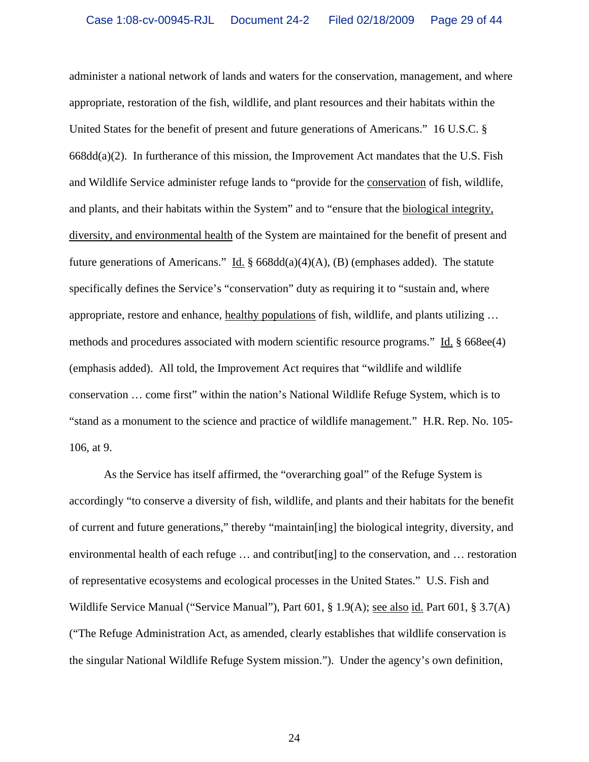administer a national network of lands and waters for the conservation, management, and where appropriate, restoration of the fish, wildlife, and plant resources and their habitats within the United States for the benefit of present and future generations of Americans." 16 U.S.C. §  $668dd(a)(2)$ . In furtherance of this mission, the Improvement Act mandates that the U.S. Fish and Wildlife Service administer refuge lands to "provide for the conservation of fish, wildlife, and plants, and their habitats within the System" and to "ensure that the biological integrity, diversity, and environmental health of the System are maintained for the benefit of present and future generations of Americans." Id.  $\S$  668dd(a)(4)(A), (B) (emphases added). The statute specifically defines the Service's "conservation" duty as requiring it to "sustain and, where appropriate, restore and enhance, healthy populations of fish, wildlife, and plants utilizing … methods and procedures associated with modern scientific resource programs." Id. § 668ee(4) (emphasis added). All told, the Improvement Act requires that "wildlife and wildlife conservation … come first" within the nation's National Wildlife Refuge System, which is to "stand as a monument to the science and practice of wildlife management." H.R. Rep. No. 105- 106, at 9.

 As the Service has itself affirmed, the "overarching goal" of the Refuge System is accordingly "to conserve a diversity of fish, wildlife, and plants and their habitats for the benefit of current and future generations," thereby "maintain[ing] the biological integrity, diversity, and environmental health of each refuge … and contribut[ing] to the conservation, and … restoration of representative ecosystems and ecological processes in the United States." U.S. Fish and Wildlife Service Manual ("Service Manual"), Part 601, § 1.9(A); see also id. Part 601, § 3.7(A) ("The Refuge Administration Act, as amended, clearly establishes that wildlife conservation is the singular National Wildlife Refuge System mission."). Under the agency's own definition,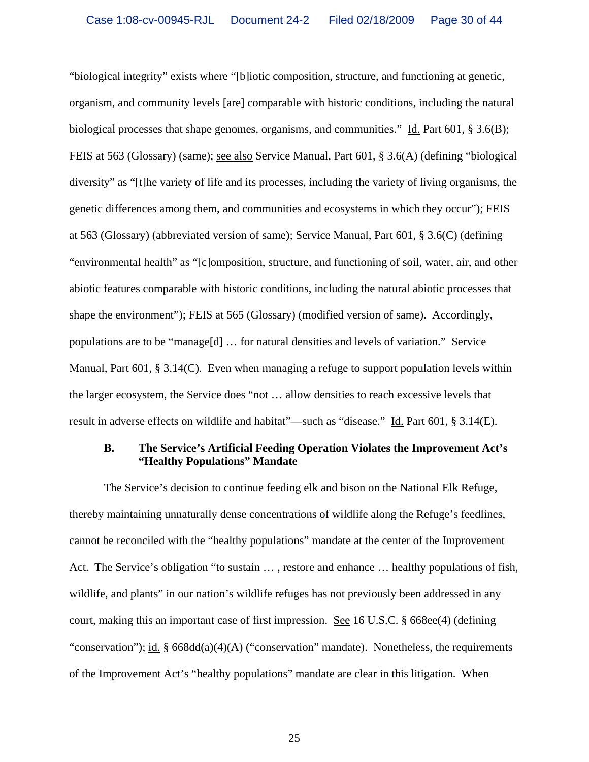"biological integrity" exists where "[b]iotic composition, structure, and functioning at genetic, organism, and community levels [are] comparable with historic conditions, including the natural biological processes that shape genomes, organisms, and communities." Id. Part 601, § 3.6(B); FEIS at 563 (Glossary) (same); see also Service Manual, Part 601, § 3.6(A) (defining "biological diversity" as "[t]he variety of life and its processes, including the variety of living organisms, the genetic differences among them, and communities and ecosystems in which they occur"); FEIS at 563 (Glossary) (abbreviated version of same); Service Manual, Part 601, § 3.6(C) (defining "environmental health" as "[c]omposition, structure, and functioning of soil, water, air, and other abiotic features comparable with historic conditions, including the natural abiotic processes that shape the environment"); FEIS at 565 (Glossary) (modified version of same). Accordingly, populations are to be "manage[d]  $\dots$  for natural densities and levels of variation." Service Manual, Part 601, § 3.14(C). Even when managing a refuge to support population levels within the larger ecosystem, the Service does "not … allow densities to reach excessive levels that result in adverse effects on wildlife and habitat"—such as "disease." Id. Part 601, § 3.14(E).

### **B. The Service's Artificial Feeding Operation Violates the Improvement Act's "Healthy Populations" Mandate**

 The Service's decision to continue feeding elk and bison on the National Elk Refuge, thereby maintaining unnaturally dense concentrations of wildlife along the Refuge's feedlines, cannot be reconciled with the "healthy populations" mandate at the center of the Improvement Act. The Service's obligation "to sustain … , restore and enhance … healthy populations of fish, wildlife, and plants" in our nation's wildlife refuges has not previously been addressed in any court, making this an important case of first impression. See 16 U.S.C. § 668ee(4) (defining "conservation"); id. § 668dd(a)(4)(A) ("conservation" mandate). Nonetheless, the requirements of the Improvement Act's "healthy populations" mandate are clear in this litigation. When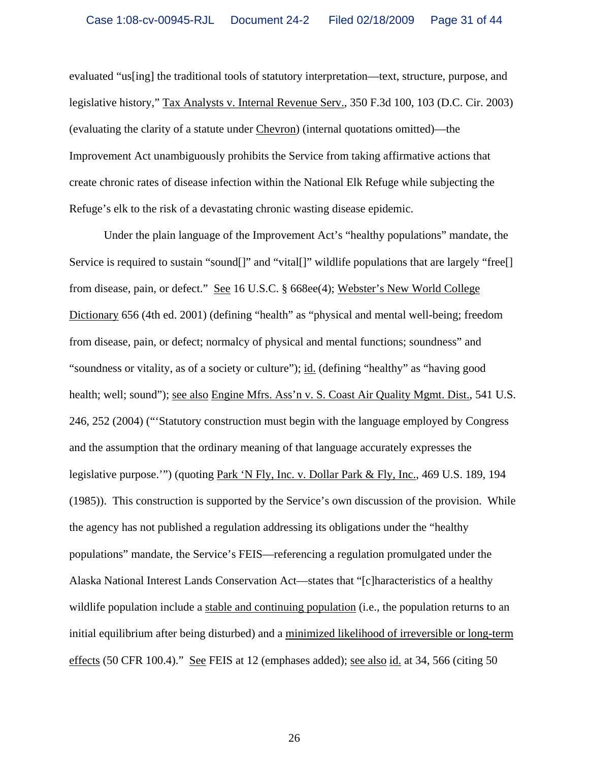evaluated "us[ing] the traditional tools of statutory interpretation—text, structure, purpose, and legislative history," Tax Analysts v. Internal Revenue Serv., 350 F.3d 100, 103 (D.C. Cir. 2003) (evaluating the clarity of a statute under Chevron) (internal quotations omitted)—the Improvement Act unambiguously prohibits the Service from taking affirmative actions that create chronic rates of disease infection within the National Elk Refuge while subjecting the Refuge's elk to the risk of a devastating chronic wasting disease epidemic.

 Under the plain language of the Improvement Act's "healthy populations" mandate, the Service is required to sustain "sound<sup>[]"</sup> and "vital<sup>[]"</sup> wildlife populations that are largely "free<sup>[]</sup> from disease, pain, or defect." See 16 U.S.C. § 668ee(4); Webster's New World College Dictionary 656 (4th ed. 2001) (defining "health" as "physical and mental well-being; freedom from disease, pain, or defect; normalcy of physical and mental functions; soundness" and "soundness or vitality, as of a society or culture"); id. (defining "healthy" as "having good health; well; sound"); see also Engine Mfrs. Ass'n v. S. Coast Air Quality Mgmt. Dist., 541 U.S. 246, 252 (2004) ("'Statutory construction must begin with the language employed by Congress and the assumption that the ordinary meaning of that language accurately expresses the legislative purpose.'") (quoting Park 'N Fly, Inc. v. Dollar Park & Fly, Inc., 469 U.S. 189, 194 (1985)). This construction is supported by the Service's own discussion of the provision. While the agency has not published a regulation addressing its obligations under the "healthy populations" mandate, the Service's FEIS—referencing a regulation promulgated under the Alaska National Interest Lands Conservation Act—states that "[c]haracteristics of a healthy wildlife population include a stable and continuing population (i.e., the population returns to an initial equilibrium after being disturbed) and a minimized likelihood of irreversible or long-term effects (50 CFR 100.4)." See FEIS at 12 (emphases added); see also id. at 34, 566 (citing 50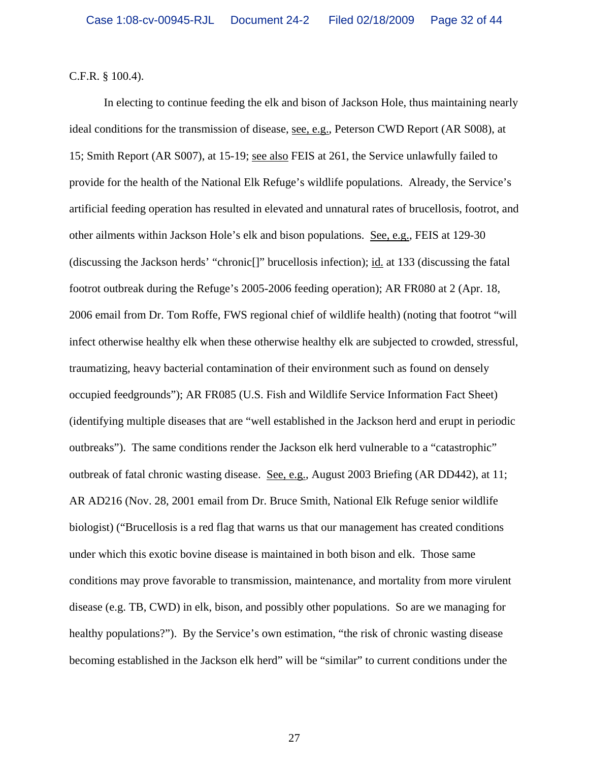C.F.R. § 100.4).

 In electing to continue feeding the elk and bison of Jackson Hole, thus maintaining nearly ideal conditions for the transmission of disease, see, e.g., Peterson CWD Report (AR S008), at 15; Smith Report (AR S007), at 15-19; see also FEIS at 261, the Service unlawfully failed to provide for the health of the National Elk Refuge's wildlife populations. Already, the Service's artificial feeding operation has resulted in elevated and unnatural rates of brucellosis, footrot, and other ailments within Jackson Hole's elk and bison populations. See, e.g., FEIS at 129-30 (discussing the Jackson herds' "chronic[]" brucellosis infection); id. at 133 (discussing the fatal footrot outbreak during the Refuge's 2005-2006 feeding operation); AR FR080 at 2 (Apr. 18, 2006 email from Dr. Tom Roffe, FWS regional chief of wildlife health) (noting that footrot "will infect otherwise healthy elk when these otherwise healthy elk are subjected to crowded, stressful, traumatizing, heavy bacterial contamination of their environment such as found on densely occupied feedgrounds"); AR FR085 (U.S. Fish and Wildlife Service Information Fact Sheet) (identifying multiple diseases that are "well established in the Jackson herd and erupt in periodic outbreaks"). The same conditions render the Jackson elk herd vulnerable to a "catastrophic" outbreak of fatal chronic wasting disease. See, e.g., August 2003 Briefing (AR DD442), at 11; AR AD216 (Nov. 28, 2001 email from Dr. Bruce Smith, National Elk Refuge senior wildlife biologist) ("Brucellosis is a red flag that warns us that our management has created conditions under which this exotic bovine disease is maintained in both bison and elk. Those same conditions may prove favorable to transmission, maintenance, and mortality from more virulent disease (e.g. TB, CWD) in elk, bison, and possibly other populations. So are we managing for healthy populations?"). By the Service's own estimation, "the risk of chronic wasting disease becoming established in the Jackson elk herd" will be "similar" to current conditions under the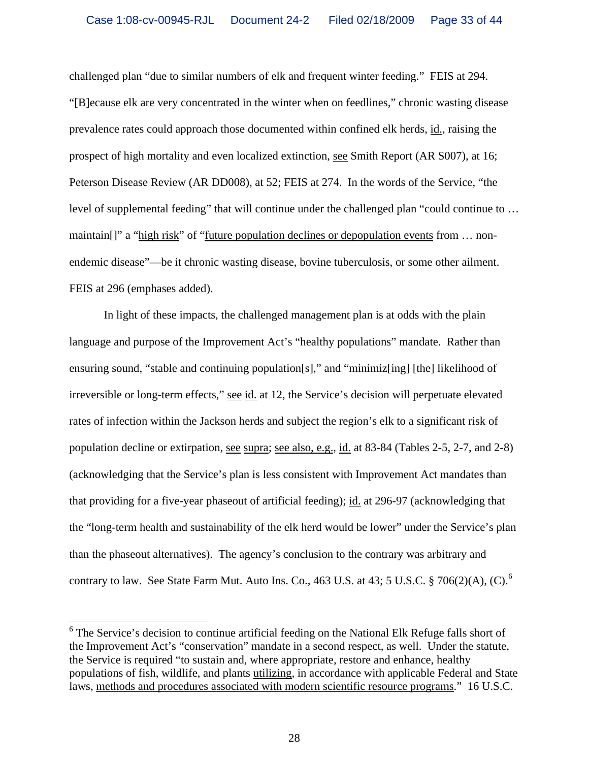challenged plan "due to similar numbers of elk and frequent winter feeding." FEIS at 294. "[B]ecause elk are very concentrated in the winter when on feedlines," chronic wasting disease prevalence rates could approach those documented within confined elk herds, id., raising the prospect of high mortality and even localized extinction, see Smith Report (AR S007), at 16; Peterson Disease Review (AR DD008), at 52; FEIS at 274. In the words of the Service, "the level of supplemental feeding" that will continue under the challenged plan "could continue to … maintain[]" a "high risk" of "future population declines or depopulation events from … nonendemic disease"—be it chronic wasting disease, bovine tuberculosis, or some other ailment. FEIS at 296 (emphases added).

 In light of these impacts, the challenged management plan is at odds with the plain language and purpose of the Improvement Act's "healthy populations" mandate. Rather than ensuring sound, "stable and continuing population[s]," and "minimiz[ing] [the] likelihood of irreversible or long-term effects," see id. at 12, the Service's decision will perpetuate elevated rates of infection within the Jackson herds and subject the region's elk to a significant risk of population decline or extirpation, see supra; see also, e.g., id. at 83-84 (Tables 2-5, 2-7, and 2-8) (acknowledging that the Service's plan is less consistent with Improvement Act mandates than that providing for a five-year phaseout of artificial feeding); id. at 296-97 (acknowledging that the "long-term health and sustainability of the elk herd would be lower" under the Service's plan than the phaseout alternatives). The agency's conclusion to the contrary was arbitrary and contrary to law. See State Farm Mut. Auto Ins. Co., 4[6](#page-32-0)3 U.S. at 43; 5 U.S.C.  $\S 706(2)(A)$ , (C).<sup>6</sup>

 $\overline{a}$ 

<span id="page-32-0"></span><sup>&</sup>lt;sup>6</sup> The Service's decision to continue artificial feeding on the National Elk Refuge falls short of the Improvement Act's "conservation" mandate in a second respect, as well. Under the statute, the Service is required "to sustain and, where appropriate, restore and enhance, healthy populations of fish, wildlife, and plants utilizing, in accordance with applicable Federal and State laws, methods and procedures associated with modern scientific resource programs." 16 U.S.C.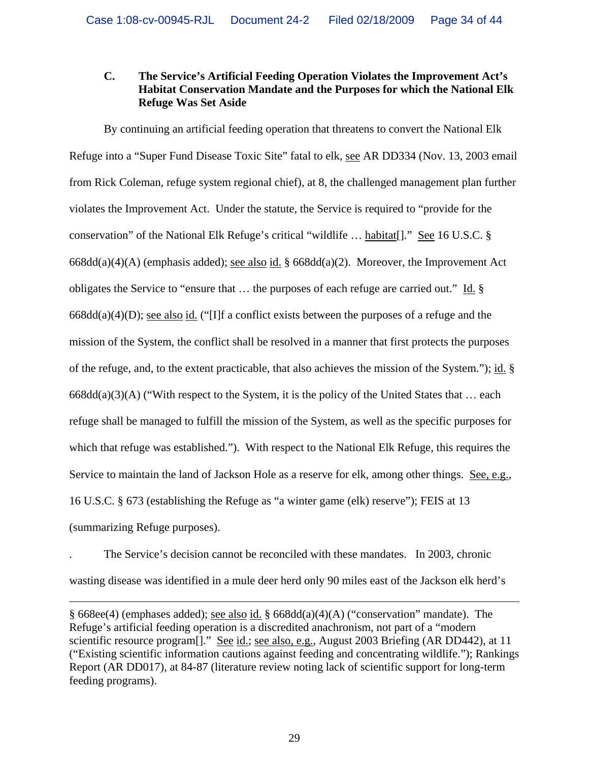## **C. The Service's Artificial Feeding Operation Violates the Improvement Act's Habitat Conservation Mandate and the Purposes for which the National Elk Refuge Was Set Aside**

 By continuing an artificial feeding operation that threatens to convert the National Elk Refuge into a "Super Fund Disease Toxic Site" fatal to elk, see AR DD334 (Nov. 13, 2003 email from Rick Coleman, refuge system regional chief), at 8, the challenged management plan further violates the Improvement Act. Under the statute, the Service is required to "provide for the conservation" of the National Elk Refuge's critical "wildlife … habitat[]." See 16 U.S.C. § 668dd(a)(4)(A) (emphasis added); see also id. § 668dd(a)(2). Moreover, the Improvement Act obligates the Service to "ensure that … the purposes of each refuge are carried out." Id. §  $668dd(a)(4)(D)$ ; <u>see also id.</u> ("[I]f a conflict exists between the purposes of a refuge and the mission of the System, the conflict shall be resolved in a manner that first protects the purposes of the refuge, and, to the extent practicable, that also achieves the mission of the System."); id. §  $668dd(a)(3)(A)$  ("With respect to the System, it is the policy of the United States that ... each refuge shall be managed to fulfill the mission of the System, as well as the specific purposes for which that refuge was established."). With respect to the National Elk Refuge, this requires the Service to maintain the land of Jackson Hole as a reserve for elk, among other things. See, e.g., 16 U.S.C. § 673 (establishing the Refuge as "a winter game (elk) reserve"); FEIS at 13 (summarizing Refuge purposes).

. The Service's decision cannot be reconciled with these mandates. In 2003, chronic wasting disease was identified in a mule deer herd only 90 miles east of the Jackson elk herd's

 $\overline{a}$ 

<sup>§ 668</sup>ee(4) (emphases added); see also id. § 668dd(a)(4)(A) ("conservation" mandate). The Refuge's artificial feeding operation is a discredited anachronism, not part of a "modern scientific resource program<sup>[]</sup>." See id.; see also, e.g., August 2003 Briefing (AR DD442), at 11 ("Existing scientific information cautions against feeding and concentrating wildlife."); Rankings Report (AR DD017), at 84-87 (literature review noting lack of scientific support for long-term feeding programs).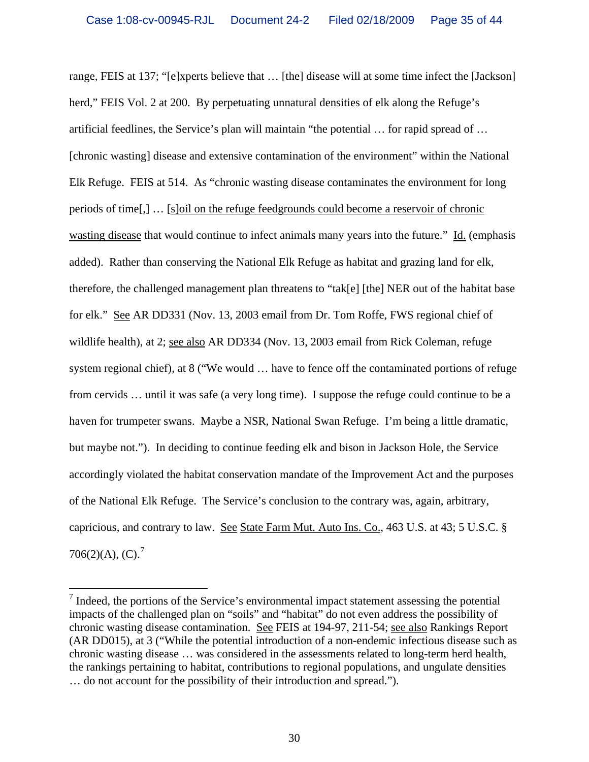range, FEIS at 137; "[e]xperts believe that … [the] disease will at some time infect the [Jackson] herd," FEIS Vol. 2 at 200. By perpetuating unnatural densities of elk along the Refuge's artificial feedlines, the Service's plan will maintain "the potential … for rapid spread of … [chronic wasting] disease and extensive contamination of the environment" within the National Elk Refuge. FEIS at 514. As "chronic wasting disease contaminates the environment for long periods of time[,] … [s]oil on the refuge feedgrounds could become a reservoir of chronic wasting disease that would continue to infect animals many years into the future." Id. (emphasis added). Rather than conserving the National Elk Refuge as habitat and grazing land for elk, therefore, the challenged management plan threatens to "tak[e] [the] NER out of the habitat base for elk." See AR DD331 (Nov. 13, 2003 email from Dr. Tom Roffe, FWS regional chief of wildlife health), at 2; see also AR DD334 (Nov. 13, 2003 email from Rick Coleman, refuge system regional chief), at 8 ("We would … have to fence off the contaminated portions of refuge from cervids … until it was safe (a very long time). I suppose the refuge could continue to be a haven for trumpeter swans. Maybe a NSR, National Swan Refuge. I'm being a little dramatic, but maybe not."). In deciding to continue feeding elk and bison in Jackson Hole, the Service accordingly violated the habitat conservation mandate of the Improvement Act and the purposes of the National Elk Refuge. The Service's conclusion to the contrary was, again, arbitrary, capricious, and contrary to law. See State Farm Mut. Auto Ins. Co., 463 U.S. at 43; 5 U.S.C. §  $706(2)(A), (C).$  $706(2)(A), (C).$ <sup>7</sup>

<span id="page-34-0"></span><sup>&</sup>lt;sup>7</sup> Indeed, the portions of the Service's environmental impact statement assessing the potential impacts of the challenged plan on "soils" and "habitat" do not even address the possibility of chronic wasting disease contamination. See FEIS at 194-97, 211-54; see also Rankings Report (AR DD015), at 3 ("While the potential introduction of a non-endemic infectious disease such as chronic wasting disease … was considered in the assessments related to long-term herd health, the rankings pertaining to habitat, contributions to regional populations, and ungulate densities … do not account for the possibility of their introduction and spread.").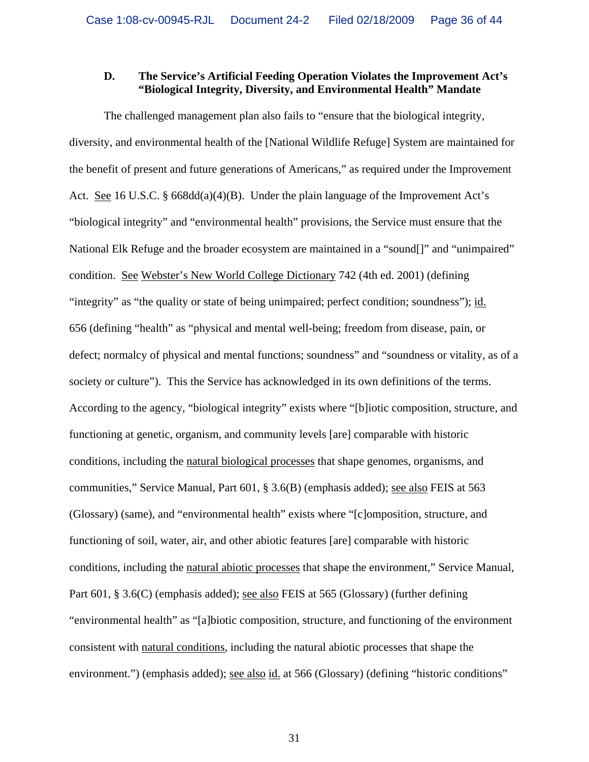#### **D. The Service's Artificial Feeding Operation Violates the Improvement Act's "Biological Integrity, Diversity, and Environmental Health" Mandate**

 The challenged management plan also fails to "ensure that the biological integrity, diversity, and environmental health of the [National Wildlife Refuge] System are maintained for the benefit of present and future generations of Americans," as required under the Improvement Act. See 16 U.S.C. § 668dd(a)(4)(B). Under the plain language of the Improvement Act's "biological integrity" and "environmental health" provisions, the Service must ensure that the National Elk Refuge and the broader ecosystem are maintained in a "sound<sup>[]"</sup> and "unimpaired" condition. See Webster's New World College Dictionary 742 (4th ed. 2001) (defining "integrity" as "the quality or state of being unimpaired; perfect condition; soundness"); id. 656 (defining "health" as "physical and mental well-being; freedom from disease, pain, or defect; normalcy of physical and mental functions; soundness" and "soundness or vitality, as of a society or culture"). This the Service has acknowledged in its own definitions of the terms. According to the agency, "biological integrity" exists where "[b]iotic composition, structure, and functioning at genetic, organism, and community levels [are] comparable with historic conditions, including the natural biological processes that shape genomes, organisms, and communities," Service Manual, Part 601, § 3.6(B) (emphasis added); see also FEIS at 563 (Glossary) (same), and "environmental health" exists where "[c]omposition, structure, and functioning of soil, water, air, and other abiotic features [are] comparable with historic conditions, including the natural abiotic processes that shape the environment," Service Manual, Part 601, § 3.6(C) (emphasis added); see also FEIS at 565 (Glossary) (further defining "environmental health" as "[a]biotic composition, structure, and functioning of the environment consistent with natural conditions, including the natural abiotic processes that shape the environment.") (emphasis added); see also id. at 566 (Glossary) (defining "historic conditions"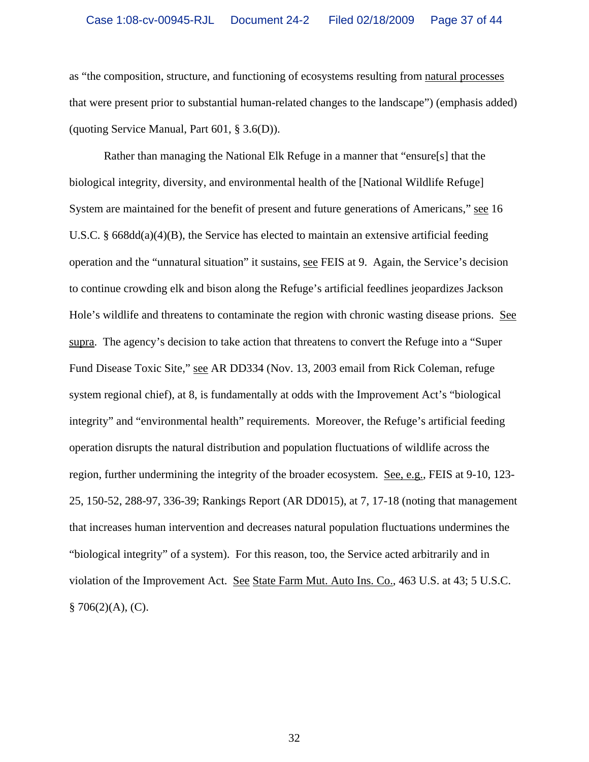as "the composition, structure, and functioning of ecosystems resulting from natural processes that were present prior to substantial human-related changes to the landscape") (emphasis added) (quoting Service Manual, Part 601, § 3.6(D)).

 Rather than managing the National Elk Refuge in a manner that "ensure[s] that the biological integrity, diversity, and environmental health of the [National Wildlife Refuge] System are maintained for the benefit of present and future generations of Americans," see 16 U.S.C. § 668dd(a)(4)(B), the Service has elected to maintain an extensive artificial feeding operation and the "unnatural situation" it sustains, see FEIS at 9. Again, the Service's decision to continue crowding elk and bison along the Refuge's artificial feedlines jeopardizes Jackson Hole's wildlife and threatens to contaminate the region with chronic wasting disease prions. See supra. The agency's decision to take action that threatens to convert the Refuge into a "Super Fund Disease Toxic Site," see AR DD334 (Nov. 13, 2003 email from Rick Coleman, refuge system regional chief), at 8, is fundamentally at odds with the Improvement Act's "biological integrity" and "environmental health" requirements. Moreover, the Refuge's artificial feeding operation disrupts the natural distribution and population fluctuations of wildlife across the region, further undermining the integrity of the broader ecosystem. See, e.g., FEIS at 9-10, 123- 25, 150-52, 288-97, 336-39; Rankings Report (AR DD015), at 7, 17-18 (noting that management that increases human intervention and decreases natural population fluctuations undermines the "biological integrity" of a system). For this reason, too, the Service acted arbitrarily and in violation of the Improvement Act. See State Farm Mut. Auto Ins. Co., 463 U.S. at 43; 5 U.S.C.  $§ 706(2)(A), (C).$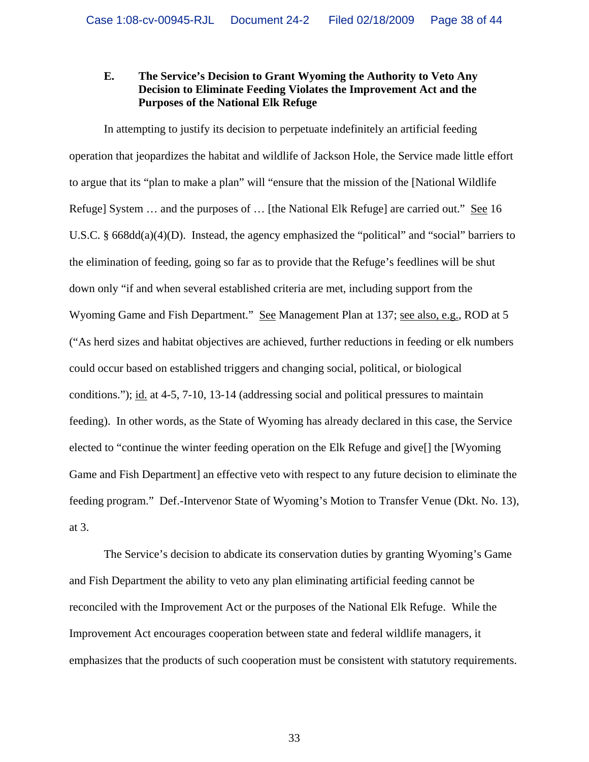## **E. The Service's Decision to Grant Wyoming the Authority to Veto Any Decision to Eliminate Feeding Violates the Improvement Act and the Purposes of the National Elk Refuge**

 In attempting to justify its decision to perpetuate indefinitely an artificial feeding operation that jeopardizes the habitat and wildlife of Jackson Hole, the Service made little effort to argue that its "plan to make a plan" will "ensure that the mission of the [National Wildlife Refuge] System … and the purposes of … [the National Elk Refuge] are carried out." See 16 U.S.C. § 668dd(a)(4)(D). Instead, the agency emphasized the "political" and "social" barriers to the elimination of feeding, going so far as to provide that the Refuge's feedlines will be shut down only "if and when several established criteria are met, including support from the Wyoming Game and Fish Department." See Management Plan at 137; see also, e.g., ROD at 5 ("As herd sizes and habitat objectives are achieved, further reductions in feeding or elk numbers could occur based on established triggers and changing social, political, or biological conditions."); id. at 4-5, 7-10, 13-14 (addressing social and political pressures to maintain feeding). In other words, as the State of Wyoming has already declared in this case, the Service elected to "continue the winter feeding operation on the Elk Refuge and give[] the [Wyoming Game and Fish Department] an effective veto with respect to any future decision to eliminate the feeding program." Def.-Intervenor State of Wyoming's Motion to Transfer Venue (Dkt. No. 13), at 3.

 The Service's decision to abdicate its conservation duties by granting Wyoming's Game and Fish Department the ability to veto any plan eliminating artificial feeding cannot be reconciled with the Improvement Act or the purposes of the National Elk Refuge. While the Improvement Act encourages cooperation between state and federal wildlife managers, it emphasizes that the products of such cooperation must be consistent with statutory requirements.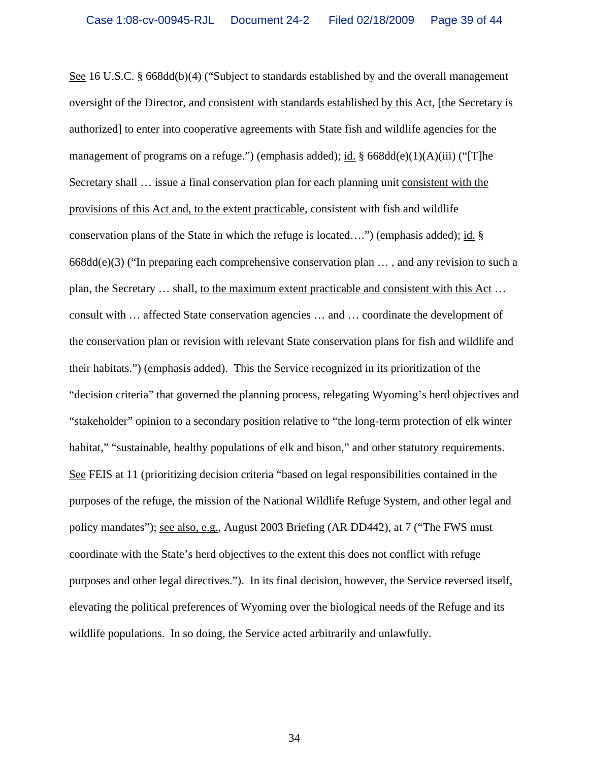See 16 U.S.C. § 668dd(b)(4) ("Subject to standards established by and the overall management oversight of the Director, and consistent with standards established by this Act, [the Secretary is authorized] to enter into cooperative agreements with State fish and wildlife agencies for the management of programs on a refuge.") (emphasis added); id. § 668dd(e)(1)(A)(iii) ("[T]he Secretary shall … issue a final conservation plan for each planning unit consistent with the provisions of this Act and, to the extent practicable, consistent with fish and wildlife conservation plans of the State in which the refuge is located….") (emphasis added); id. §  $668d(d(e)(3)$  ("In preparing each comprehensive conservation plan  $\dots$ , and any revision to such a plan, the Secretary … shall, to the maximum extent practicable and consistent with this Act … consult with … affected State conservation agencies … and … coordinate the development of the conservation plan or revision with relevant State conservation plans for fish and wildlife and their habitats.") (emphasis added). This the Service recognized in its prioritization of the "decision criteria" that governed the planning process, relegating Wyoming's herd objectives and "stakeholder" opinion to a secondary position relative to "the long-term protection of elk winter habitat," "sustainable, healthy populations of elk and bison," and other statutory requirements. See FEIS at 11 (prioritizing decision criteria "based on legal responsibilities contained in the purposes of the refuge, the mission of the National Wildlife Refuge System, and other legal and policy mandates"); see also, e.g., August 2003 Briefing (AR DD442), at 7 ("The FWS must coordinate with the State's herd objectives to the extent this does not conflict with refuge purposes and other legal directives."). In its final decision, however, the Service reversed itself, elevating the political preferences of Wyoming over the biological needs of the Refuge and its wildlife populations. In so doing, the Service acted arbitrarily and unlawfully.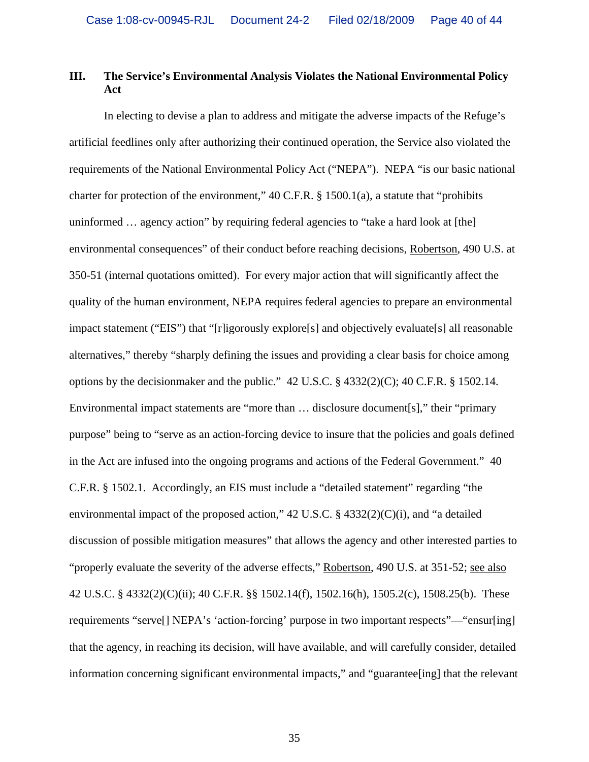## **III. The Service's Environmental Analysis Violates the National Environmental Policy Act**

 In electing to devise a plan to address and mitigate the adverse impacts of the Refuge's artificial feedlines only after authorizing their continued operation, the Service also violated the requirements of the National Environmental Policy Act ("NEPA"). NEPA "is our basic national charter for protection of the environment," 40 C.F.R. § 1500.1(a), a statute that "prohibits uninformed … agency action" by requiring federal agencies to "take a hard look at [the] environmental consequences" of their conduct before reaching decisions, Robertson, 490 U.S. at 350-51 (internal quotations omitted). For every major action that will significantly affect the quality of the human environment, NEPA requires federal agencies to prepare an environmental impact statement ("EIS") that "[r]igorously explore[s] and objectively evaluate[s] all reasonable alternatives," thereby "sharply defining the issues and providing a clear basis for choice among options by the decisionmaker and the public." 42 U.S.C. § 4332(2)(C); 40 C.F.R. § 1502.14. Environmental impact statements are "more than ... disclosure document[s]," their "primary purpose" being to "serve as an action-forcing device to insure that the policies and goals defined in the Act are infused into the ongoing programs and actions of the Federal Government." 40 C.F.R. § 1502.1. Accordingly, an EIS must include a "detailed statement" regarding "the environmental impact of the proposed action," 42 U.S.C. § 4332(2)(C)(i), and "a detailed discussion of possible mitigation measures" that allows the agency and other interested parties to "properly evaluate the severity of the adverse effects," Robertson, 490 U.S. at 351-52; see also 42 U.S.C. § 4332(2)(C)(ii); 40 C.F.R. §§ 1502.14(f), 1502.16(h), 1505.2(c), 1508.25(b). These requirements "serve[] NEPA's 'action-forcing' purpose in two important respects"—"ensur[ing] that the agency, in reaching its decision, will have available, and will carefully consider, detailed information concerning significant environmental impacts," and "guarantee[ing] that the relevant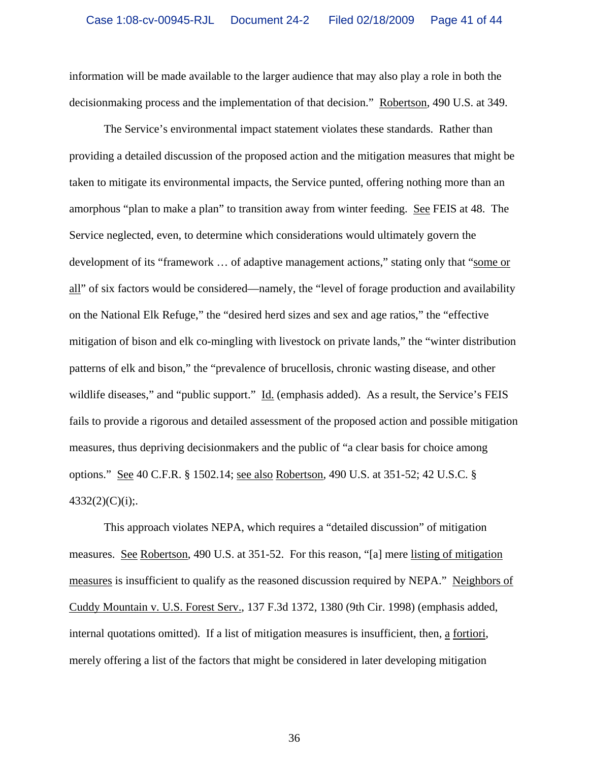information will be made available to the larger audience that may also play a role in both the decisionmaking process and the implementation of that decision." Robertson, 490 U.S. at 349.

 The Service's environmental impact statement violates these standards. Rather than providing a detailed discussion of the proposed action and the mitigation measures that might be taken to mitigate its environmental impacts, the Service punted, offering nothing more than an amorphous "plan to make a plan" to transition away from winter feeding. See FEIS at 48. The Service neglected, even, to determine which considerations would ultimately govern the development of its "framework … of adaptive management actions," stating only that "some or all" of six factors would be considered—namely, the "level of forage production and availability on the National Elk Refuge," the "desired herd sizes and sex and age ratios," the "effective mitigation of bison and elk co-mingling with livestock on private lands," the "winter distribution patterns of elk and bison," the "prevalence of brucellosis, chronic wasting disease, and other wildlife diseases," and "public support." Id. (emphasis added). As a result, the Service's FEIS fails to provide a rigorous and detailed assessment of the proposed action and possible mitigation measures, thus depriving decisionmakers and the public of "a clear basis for choice among options." See 40 C.F.R. § 1502.14; see also Robertson, 490 U.S. at 351-52; 42 U.S.C. §  $4332(2)(C)(i);$ .

 This approach violates NEPA, which requires a "detailed discussion" of mitigation measures. See Robertson, 490 U.S. at 351-52. For this reason, "[a] mere listing of mitigation measures is insufficient to qualify as the reasoned discussion required by NEPA." Neighbors of Cuddy Mountain v. U.S. Forest Serv., 137 F.3d 1372, 1380 (9th Cir. 1998) (emphasis added, internal quotations omitted). If a list of mitigation measures is insufficient, then, a fortiori, merely offering a list of the factors that might be considered in later developing mitigation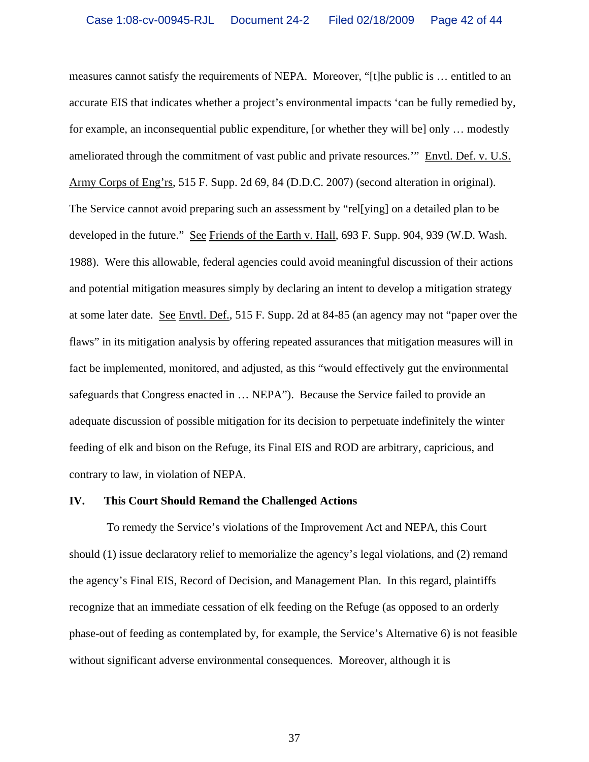measures cannot satisfy the requirements of NEPA. Moreover, "[t]he public is … entitled to an accurate EIS that indicates whether a project's environmental impacts 'can be fully remedied by, for example, an inconsequential public expenditure, [or whether they will be] only … modestly ameliorated through the commitment of vast public and private resources.'" Envtl. Def. v. U.S. Army Corps of Eng'rs, 515 F. Supp. 2d 69, 84 (D.D.C. 2007) (second alteration in original). The Service cannot avoid preparing such an assessment by "rel[ying] on a detailed plan to be developed in the future." See Friends of the Earth v. Hall, 693 F. Supp. 904, 939 (W.D. Wash. 1988). Were this allowable, federal agencies could avoid meaningful discussion of their actions and potential mitigation measures simply by declaring an intent to develop a mitigation strategy at some later date. See Envtl. Def., 515 F. Supp. 2d at 84-85 (an agency may not "paper over the flaws" in its mitigation analysis by offering repeated assurances that mitigation measures will in fact be implemented, monitored, and adjusted, as this "would effectively gut the environmental safeguards that Congress enacted in … NEPA"). Because the Service failed to provide an adequate discussion of possible mitigation for its decision to perpetuate indefinitely the winter feeding of elk and bison on the Refuge, its Final EIS and ROD are arbitrary, capricious, and contrary to law, in violation of NEPA.

#### **IV. This Court Should Remand the Challenged Actions**

 To remedy the Service's violations of the Improvement Act and NEPA, this Court should (1) issue declaratory relief to memorialize the agency's legal violations, and (2) remand the agency's Final EIS, Record of Decision, and Management Plan. In this regard, plaintiffs recognize that an immediate cessation of elk feeding on the Refuge (as opposed to an orderly phase-out of feeding as contemplated by, for example, the Service's Alternative 6) is not feasible without significant adverse environmental consequences. Moreover, although it is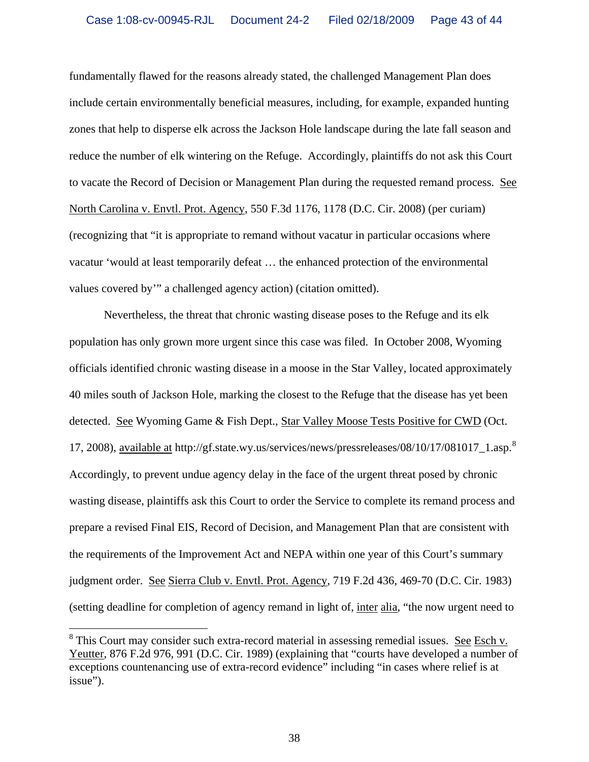fundamentally flawed for the reasons already stated, the challenged Management Plan does include certain environmentally beneficial measures, including, for example, expanded hunting zones that help to disperse elk across the Jackson Hole landscape during the late fall season and reduce the number of elk wintering on the Refuge. Accordingly, plaintiffs do not ask this Court to vacate the Record of Decision or Management Plan during the requested remand process. See North Carolina v. Envtl. Prot. Agency, 550 F.3d 1176, 1178 (D.C. Cir. 2008) (per curiam) (recognizing that "it is appropriate to remand without vacatur in particular occasions where vacatur 'would at least temporarily defeat … the enhanced protection of the environmental values covered by'" a challenged agency action) (citation omitted).

 Nevertheless, the threat that chronic wasting disease poses to the Refuge and its elk population has only grown more urgent since this case was filed. In October 2008, Wyoming officials identified chronic wasting disease in a moose in the Star Valley, located approximately 40 miles south of Jackson Hole, marking the closest to the Refuge that the disease has yet been detected. See Wyoming Game & Fish Dept., Star Valley Moose Tests Positive for CWD (Oct. 17, 200[8](#page-42-0)), available at http://gf.state.wy.us/services/news/pressreleases/08/10/17/081017\_1.asp.<sup>8</sup> Accordingly, to prevent undue agency delay in the face of the urgent threat posed by chronic wasting disease, plaintiffs ask this Court to order the Service to complete its remand process and prepare a revised Final EIS, Record of Decision, and Management Plan that are consistent with the requirements of the Improvement Act and NEPA within one year of this Court's summary judgment order. See Sierra Club v. Envtl. Prot. Agency, 719 F.2d 436, 469-70 (D.C. Cir. 1983) (setting deadline for completion of agency remand in light of, inter alia, "the now urgent need to

 $\overline{a}$ 

<span id="page-42-0"></span> $8$  This Court may consider such extra-record material in assessing remedial issues. See Esch v. Yeutter, 876 F.2d 976, 991 (D.C. Cir. 1989) (explaining that "courts have developed a number of exceptions countenancing use of extra-record evidence" including "in cases where relief is at issue").